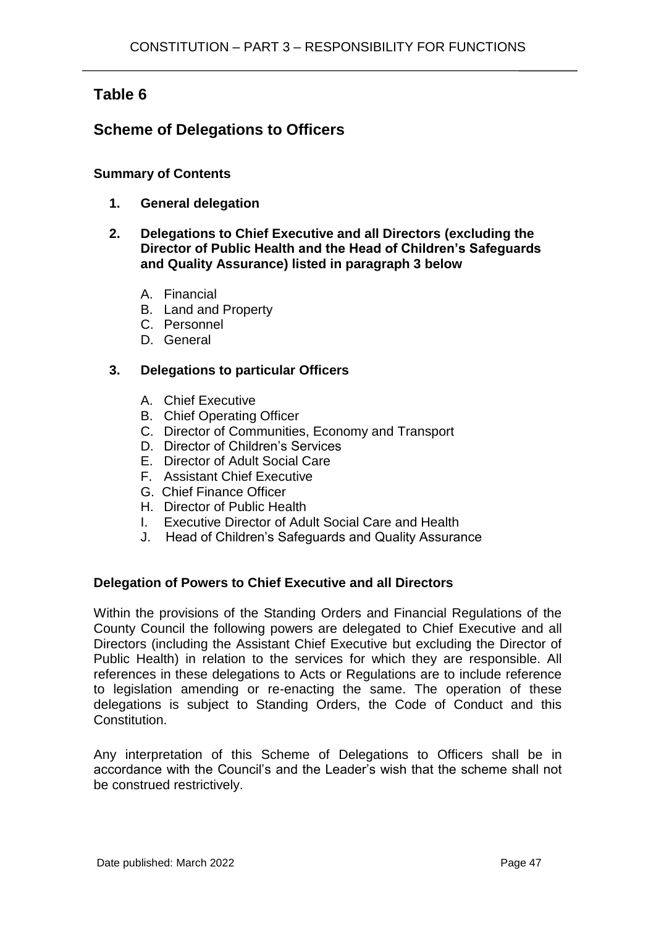# **Table 6**

# **Scheme of Delegations to Officers**

## **Summary of Contents**

- **1. General delegation**
- **2. Delegations to Chief Executive and all Directors (excluding the Director of Public Health and the Head of Children's Safeguards and Quality Assurance) listed in paragraph 3 below**
	- A. Financial
	- B. Land and Property
	- C. Personnel
	- D. General

## **3. Delegations to particular Officers**

- A. Chief Executive
- B. Chief Operating Officer
- C. Director of Communities, Economy and Transport
- D. Director of Children's Services
- E. Director of Adult Social Care
- F. Assistant Chief Executive
- G. Chief Finance Officer
- H. Director of Public Health
- I. Executive Director of Adult Social Care and Health
- J. Head of Children's Safeguards and Quality Assurance

## **Delegation of Powers to Chief Executive and all Directors**

Within the provisions of the Standing Orders and Financial Regulations of the County Council the following powers are delegated to Chief Executive and all Directors (including the Assistant Chief Executive but excluding the Director of Public Health) in relation to the services for which they are responsible. All references in these delegations to Acts or Regulations are to include reference to legislation amending or re-enacting the same. The operation of these delegations is subject to Standing Orders, the Code of Conduct and this Constitution.

Any interpretation of this Scheme of Delegations to Officers shall be in accordance with the Council's and the Leader's wish that the scheme shall not be construed restrictively.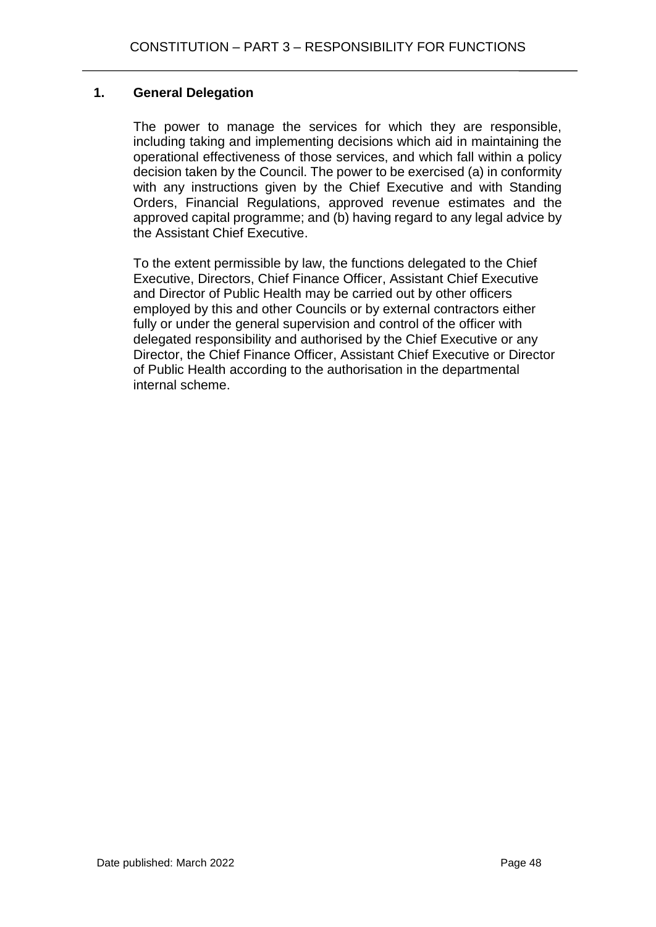## **1. General Delegation**

The power to manage the services for which they are responsible, including taking and implementing decisions which aid in maintaining the operational effectiveness of those services, and which fall within a policy decision taken by the Council. The power to be exercised (a) in conformity with any instructions given by the Chief Executive and with Standing Orders, Financial Regulations, approved revenue estimates and the approved capital programme; and (b) having regard to any legal advice by the Assistant Chief Executive.

To the extent permissible by law, the functions delegated to the Chief Executive, Directors, Chief Finance Officer, Assistant Chief Executive and Director of Public Health may be carried out by other officers employed by this and other Councils or by external contractors either fully or under the general supervision and control of the officer with delegated responsibility and authorised by the Chief Executive or any Director, the Chief Finance Officer, Assistant Chief Executive or Director of Public Health according to the authorisation in the departmental internal scheme.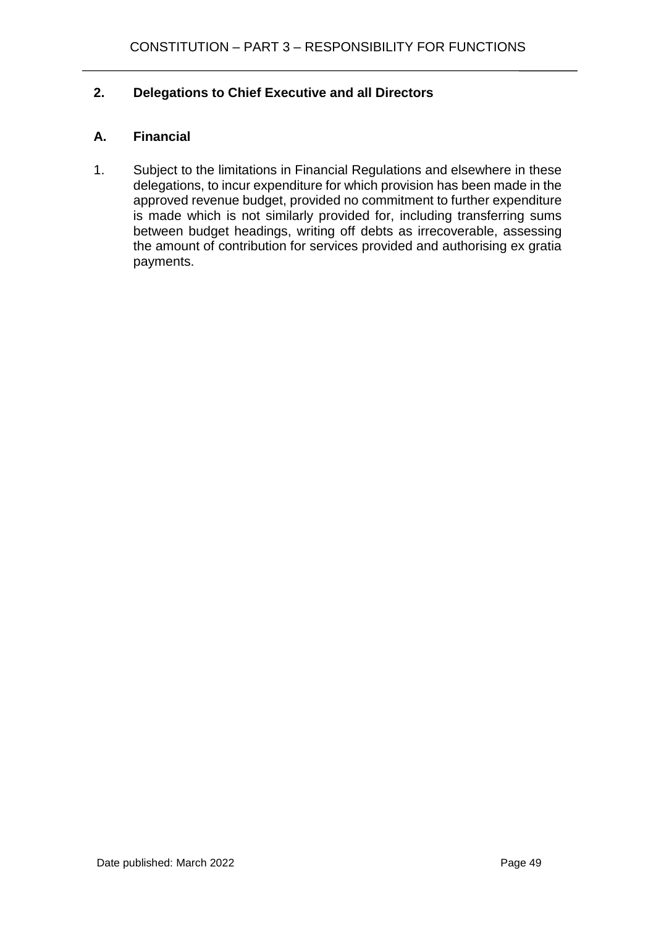# **2. Delegations to Chief Executive and all Directors**

## **A. Financial**

1. Subject to the limitations in Financial Regulations and elsewhere in these delegations, to incur expenditure for which provision has been made in the approved revenue budget, provided no commitment to further expenditure is made which is not similarly provided for, including transferring sums between budget headings, writing off debts as irrecoverable, assessing the amount of contribution for services provided and authorising ex gratia payments.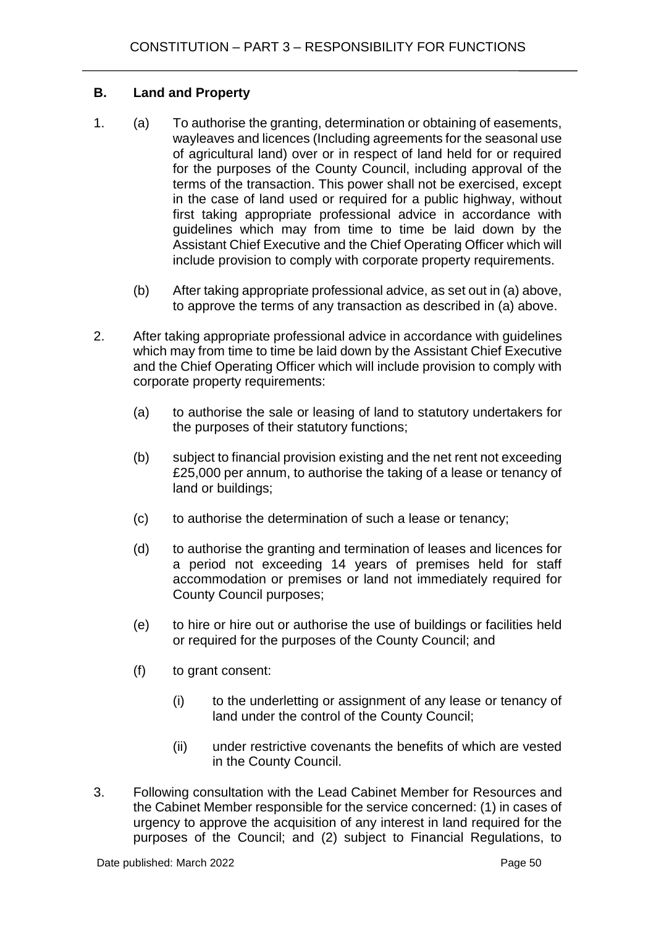# **B. Land and Property**

- 1. (a) To authorise the granting, determination or obtaining of easements, wayleaves and licences (Including agreements for the seasonal use of agricultural land) over or in respect of land held for or required for the purposes of the County Council, including approval of the terms of the transaction. This power shall not be exercised, except in the case of land used or required for a public highway, without first taking appropriate professional advice in accordance with guidelines which may from time to time be laid down by the Assistant Chief Executive and the Chief Operating Officer which will include provision to comply with corporate property requirements.
	- (b) After taking appropriate professional advice, as set out in (a) above, to approve the terms of any transaction as described in (a) above.
- 2. After taking appropriate professional advice in accordance with guidelines which may from time to time be laid down by the Assistant Chief Executive and the Chief Operating Officer which will include provision to comply with corporate property requirements:
	- (a) to authorise the sale or leasing of land to statutory undertakers for the purposes of their statutory functions;
	- (b) subject to financial provision existing and the net rent not exceeding £25,000 per annum, to authorise the taking of a lease or tenancy of land or buildings;
	- (c) to authorise the determination of such a lease or tenancy;
	- (d) to authorise the granting and termination of leases and licences for a period not exceeding 14 years of premises held for staff accommodation or premises or land not immediately required for County Council purposes;
	- (e) to hire or hire out or authorise the use of buildings or facilities held or required for the purposes of the County Council; and
	- (f) to grant consent:
		- (i) to the underletting or assignment of any lease or tenancy of land under the control of the County Council;
		- (ii) under restrictive covenants the benefits of which are vested in the County Council.
- 3. Following consultation with the Lead Cabinet Member for Resources and the Cabinet Member responsible for the service concerned: (1) in cases of urgency to approve the acquisition of any interest in land required for the purposes of the Council; and (2) subject to Financial Regulations, to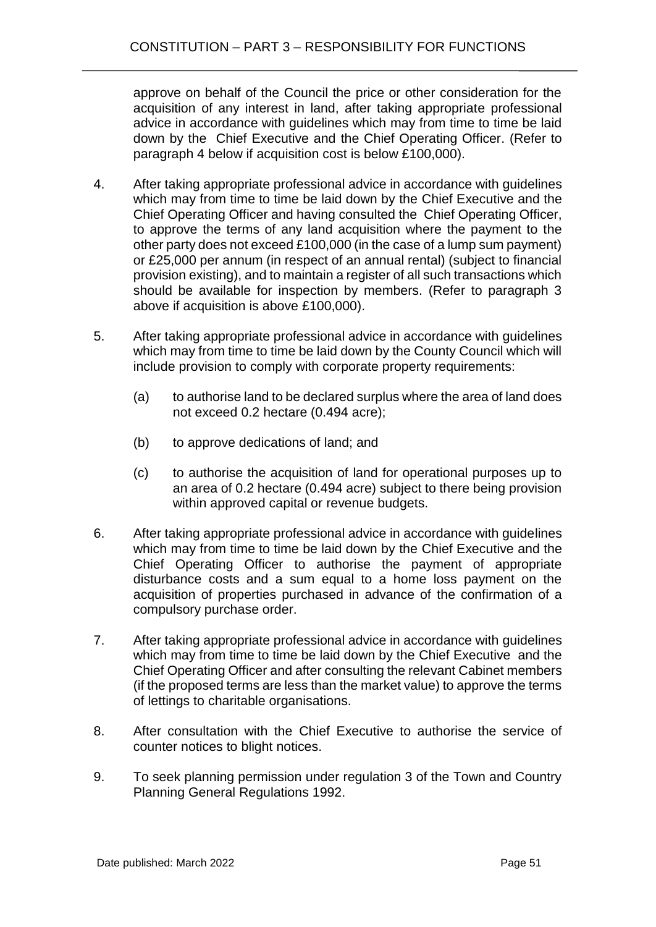approve on behalf of the Council the price or other consideration for the acquisition of any interest in land, after taking appropriate professional advice in accordance with guidelines which may from time to time be laid down by the Chief Executive and the Chief Operating Officer. (Refer to paragraph 4 below if acquisition cost is below £100,000).

- 4. After taking appropriate professional advice in accordance with guidelines which may from time to time be laid down by the Chief Executive and the Chief Operating Officer and having consulted the Chief Operating Officer, to approve the terms of any land acquisition where the payment to the other party does not exceed £100,000 (in the case of a lump sum payment) or £25,000 per annum (in respect of an annual rental) (subject to financial provision existing), and to maintain a register of all such transactions which should be available for inspection by members. (Refer to paragraph 3 above if acquisition is above £100,000).
- 5. After taking appropriate professional advice in accordance with guidelines which may from time to time be laid down by the County Council which will include provision to comply with corporate property requirements:
	- (a) to authorise land to be declared surplus where the area of land does not exceed 0.2 hectare (0.494 acre);
	- (b) to approve dedications of land; and
	- (c) to authorise the acquisition of land for operational purposes up to an area of 0.2 hectare (0.494 acre) subject to there being provision within approved capital or revenue budgets.
- 6. After taking appropriate professional advice in accordance with guidelines which may from time to time be laid down by the Chief Executive and the Chief Operating Officer to authorise the payment of appropriate disturbance costs and a sum equal to a home loss payment on the acquisition of properties purchased in advance of the confirmation of a compulsory purchase order.
- 7. After taking appropriate professional advice in accordance with guidelines which may from time to time be laid down by the Chief Executive and the Chief Operating Officer and after consulting the relevant Cabinet members (if the proposed terms are less than the market value) to approve the terms of lettings to charitable organisations.
- 8. After consultation with the Chief Executive to authorise the service of counter notices to blight notices.
- 9. To seek planning permission under regulation 3 of the Town and Country Planning General Regulations 1992.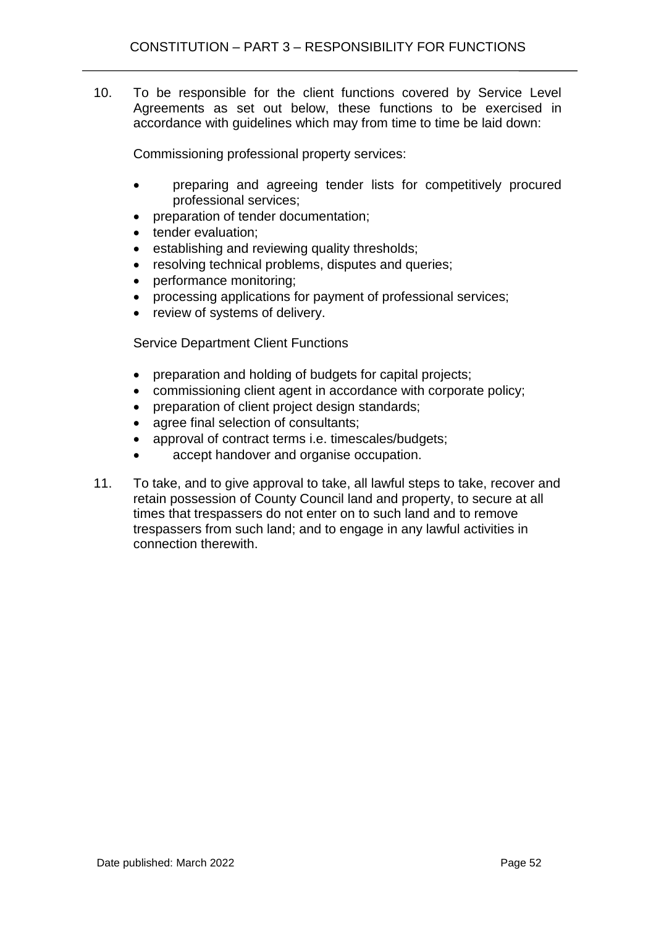10. To be responsible for the client functions covered by Service Level Agreements as set out below, these functions to be exercised in accordance with guidelines which may from time to time be laid down:

Commissioning professional property services:

- preparing and agreeing tender lists for competitively procured professional services;
- preparation of tender documentation;
- tender evaluation;
- establishing and reviewing quality thresholds:
- resolving technical problems, disputes and queries;
- performance monitoring;
- processing applications for payment of professional services;
- review of systems of delivery.

Service Department Client Functions

- preparation and holding of budgets for capital projects;
- commissioning client agent in accordance with corporate policy;
- preparation of client project design standards;
- agree final selection of consultants;
- approval of contract terms i.e. timescales/budgets;
- accept handover and organise occupation.
- 11. To take, and to give approval to take, all lawful steps to take, recover and retain possession of County Council land and property, to secure at all times that trespassers do not enter on to such land and to remove trespassers from such land; and to engage in any lawful activities in connection therewith.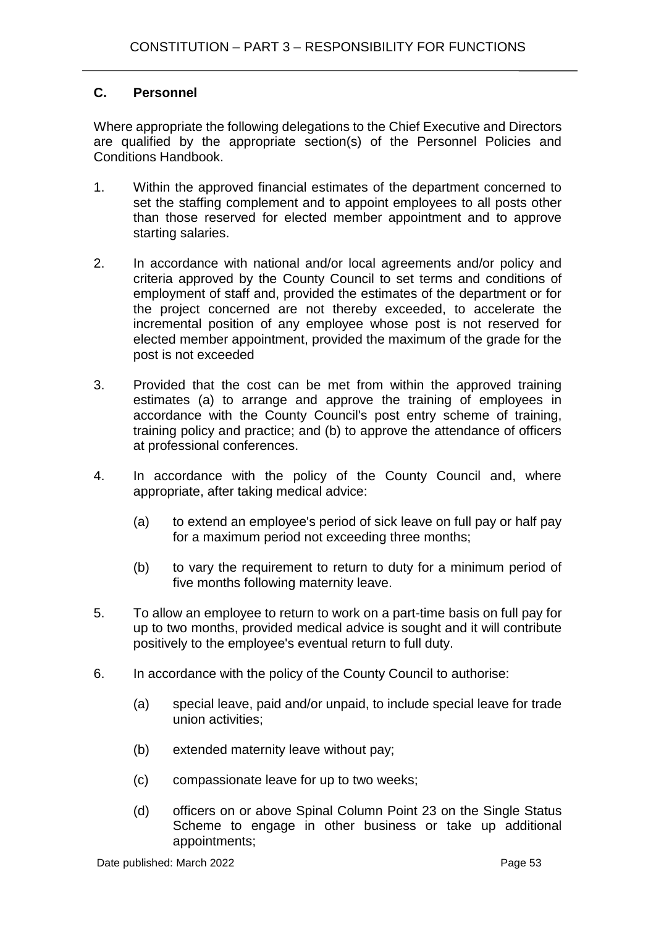# **C. Personnel**

Where appropriate the following delegations to the Chief Executive and Directors are qualified by the appropriate section(s) of the Personnel Policies and Conditions Handbook.

- 1. Within the approved financial estimates of the department concerned to set the staffing complement and to appoint employees to all posts other than those reserved for elected member appointment and to approve starting salaries.
- 2. In accordance with national and/or local agreements and/or policy and criteria approved by the County Council to set terms and conditions of employment of staff and, provided the estimates of the department or for the project concerned are not thereby exceeded, to accelerate the incremental position of any employee whose post is not reserved for elected member appointment, provided the maximum of the grade for the post is not exceeded
- 3. Provided that the cost can be met from within the approved training estimates (a) to arrange and approve the training of employees in accordance with the County Council's post entry scheme of training, training policy and practice; and (b) to approve the attendance of officers at professional conferences.
- 4. In accordance with the policy of the County Council and, where appropriate, after taking medical advice:
	- (a) to extend an employee's period of sick leave on full pay or half pay for a maximum period not exceeding three months;
	- (b) to vary the requirement to return to duty for a minimum period of five months following maternity leave.
- 5. To allow an employee to return to work on a part-time basis on full pay for up to two months, provided medical advice is sought and it will contribute positively to the employee's eventual return to full duty.
- 6. In accordance with the policy of the County Council to authorise:
	- (a) special leave, paid and/or unpaid, to include special leave for trade union activities;
	- (b) extended maternity leave without pay;
	- (c) compassionate leave for up to two weeks;
	- (d) officers on or above Spinal Column Point 23 on the Single Status Scheme to engage in other business or take up additional appointments;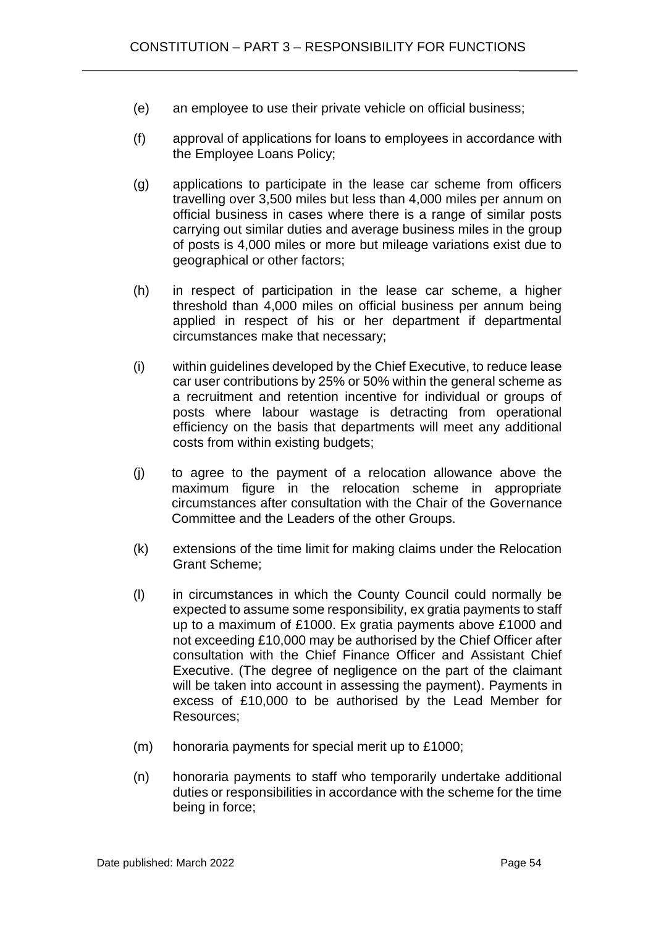- (e) an employee to use their private vehicle on official business;
- (f) approval of applications for loans to employees in accordance with the Employee Loans Policy;
- (g) applications to participate in the lease car scheme from officers travelling over 3,500 miles but less than 4,000 miles per annum on official business in cases where there is a range of similar posts carrying out similar duties and average business miles in the group of posts is 4,000 miles or more but mileage variations exist due to geographical or other factors;
- (h) in respect of participation in the lease car scheme, a higher threshold than 4,000 miles on official business per annum being applied in respect of his or her department if departmental circumstances make that necessary;
- (i) within guidelines developed by the Chief Executive, to reduce lease car user contributions by 25% or 50% within the general scheme as a recruitment and retention incentive for individual or groups of posts where labour wastage is detracting from operational efficiency on the basis that departments will meet any additional costs from within existing budgets;
- (j) to agree to the payment of a relocation allowance above the maximum figure in the relocation scheme in appropriate circumstances after consultation with the Chair of the Governance Committee and the Leaders of the other Groups.
- (k) extensions of the time limit for making claims under the Relocation Grant Scheme;
- (l) in circumstances in which the County Council could normally be expected to assume some responsibility, ex gratia payments to staff up to a maximum of £1000. Ex gratia payments above £1000 and not exceeding £10,000 may be authorised by the Chief Officer after consultation with the Chief Finance Officer and Assistant Chief Executive. (The degree of negligence on the part of the claimant will be taken into account in assessing the payment). Payments in excess of £10,000 to be authorised by the Lead Member for Resources;
- (m) honoraria payments for special merit up to £1000;
- (n) honoraria payments to staff who temporarily undertake additional duties or responsibilities in accordance with the scheme for the time being in force;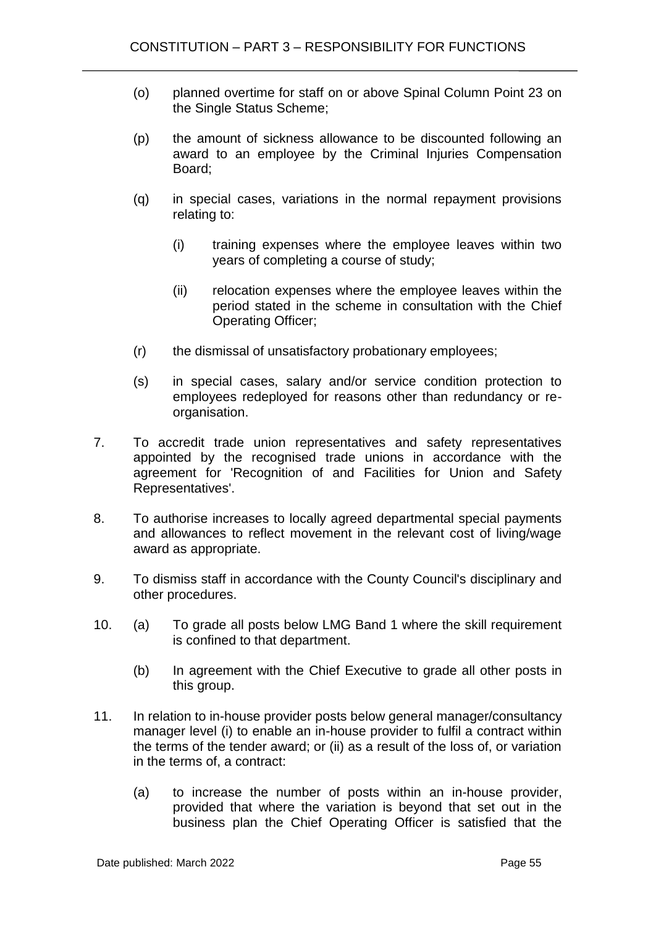- (o) planned overtime for staff on or above Spinal Column Point 23 on the Single Status Scheme;
- (p) the amount of sickness allowance to be discounted following an award to an employee by the Criminal Injuries Compensation Board;
- (q) in special cases, variations in the normal repayment provisions relating to:
	- (i) training expenses where the employee leaves within two years of completing a course of study;
	- (ii) relocation expenses where the employee leaves within the period stated in the scheme in consultation with the Chief Operating Officer;
- (r) the dismissal of unsatisfactory probationary employees;
- (s) in special cases, salary and/or service condition protection to employees redeployed for reasons other than redundancy or reorganisation.
- 7. To accredit trade union representatives and safety representatives appointed by the recognised trade unions in accordance with the agreement for 'Recognition of and Facilities for Union and Safety Representatives'.
- 8. To authorise increases to locally agreed departmental special payments and allowances to reflect movement in the relevant cost of living/wage award as appropriate.
- 9. To dismiss staff in accordance with the County Council's disciplinary and other procedures.
- 10. (a) To grade all posts below LMG Band 1 where the skill requirement is confined to that department.
	- (b) In agreement with the Chief Executive to grade all other posts in this group.
- 11. In relation to in-house provider posts below general manager/consultancy manager level (i) to enable an in-house provider to fulfil a contract within the terms of the tender award; or (ii) as a result of the loss of, or variation in the terms of, a contract:
	- (a) to increase the number of posts within an in-house provider, provided that where the variation is beyond that set out in the business plan the Chief Operating Officer is satisfied that the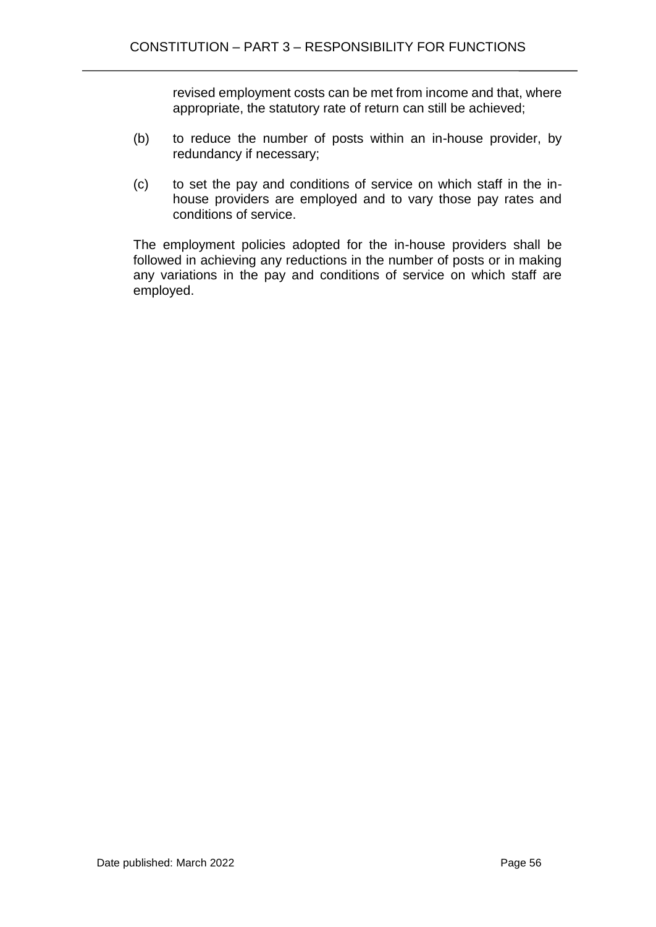revised employment costs can be met from income and that, where appropriate, the statutory rate of return can still be achieved;

- (b) to reduce the number of posts within an in-house provider, by redundancy if necessary;
- (c) to set the pay and conditions of service on which staff in the inhouse providers are employed and to vary those pay rates and conditions of service.

The employment policies adopted for the in-house providers shall be followed in achieving any reductions in the number of posts or in making any variations in the pay and conditions of service on which staff are employed.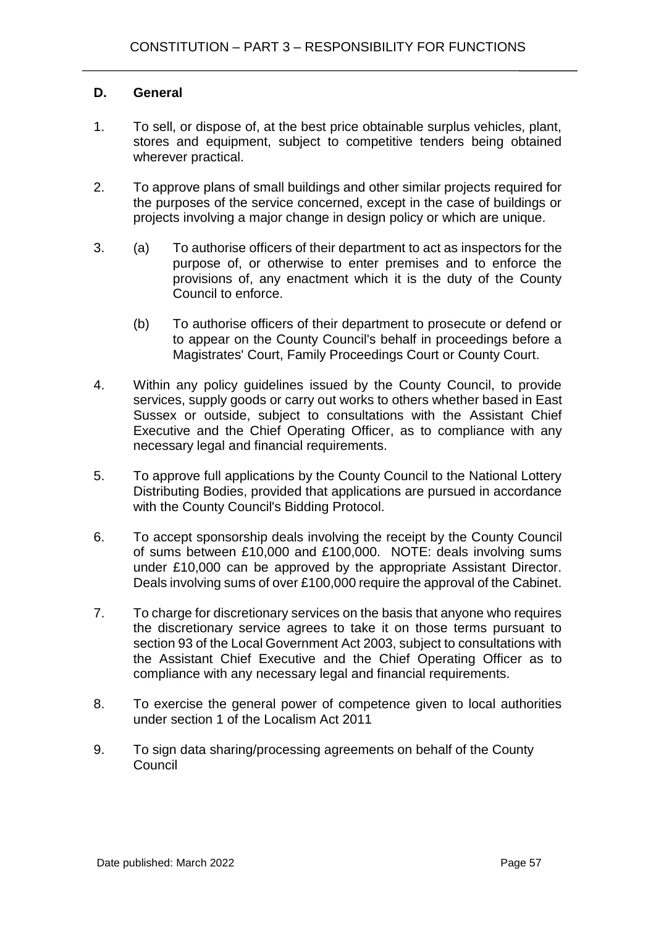# **D. General**

- 1. To sell, or dispose of, at the best price obtainable surplus vehicles, plant, stores and equipment, subject to competitive tenders being obtained wherever practical.
- 2. To approve plans of small buildings and other similar projects required for the purposes of the service concerned, except in the case of buildings or projects involving a major change in design policy or which are unique.
- 3. (a) To authorise officers of their department to act as inspectors for the purpose of, or otherwise to enter premises and to enforce the provisions of, any enactment which it is the duty of the County Council to enforce.
	- (b) To authorise officers of their department to prosecute or defend or to appear on the County Council's behalf in proceedings before a Magistrates' Court, Family Proceedings Court or County Court.
- 4. Within any policy guidelines issued by the County Council, to provide services, supply goods or carry out works to others whether based in East Sussex or outside, subject to consultations with the Assistant Chief Executive and the Chief Operating Officer, as to compliance with any necessary legal and financial requirements.
- 5. To approve full applications by the County Council to the National Lottery Distributing Bodies, provided that applications are pursued in accordance with the County Council's Bidding Protocol.
- 6. To accept sponsorship deals involving the receipt by the County Council of sums between £10,000 and £100,000. NOTE: deals involving sums under £10,000 can be approved by the appropriate Assistant Director. Deals involving sums of over £100,000 require the approval of the Cabinet.
- 7. To charge for discretionary services on the basis that anyone who requires the discretionary service agrees to take it on those terms pursuant to section 93 of the Local Government Act 2003, subject to consultations with the Assistant Chief Executive and the Chief Operating Officer as to compliance with any necessary legal and financial requirements.
- 8. To exercise the general power of competence given to local authorities under section 1 of the Localism Act 2011
- 9. To sign data sharing/processing agreements on behalf of the County **Council**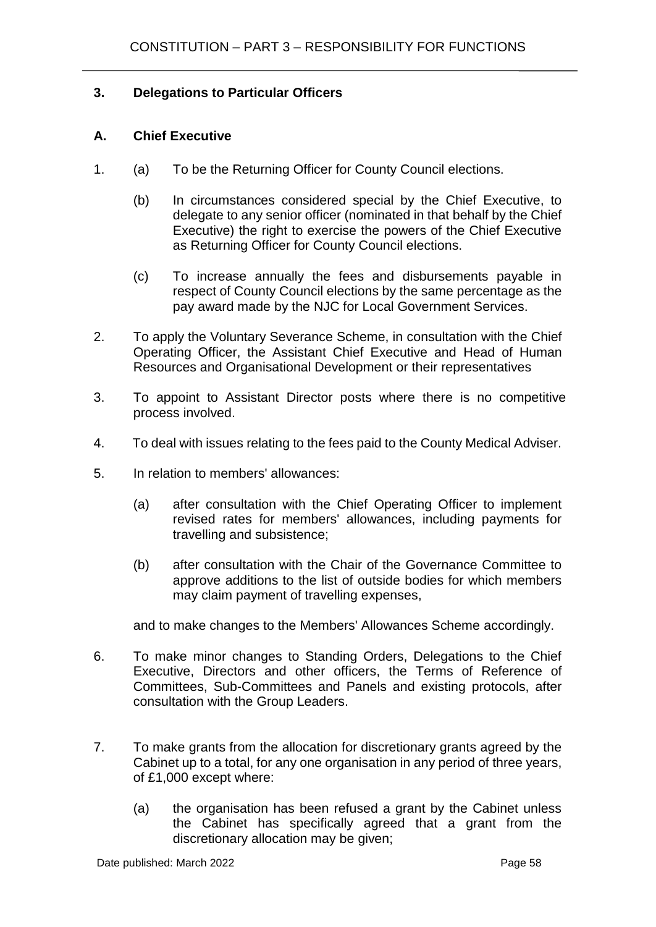## **3. Delegations to Particular Officers**

## **A. Chief Executive**

- 1. (a) To be the Returning Officer for County Council elections.
	- (b) In circumstances considered special by the Chief Executive, to delegate to any senior officer (nominated in that behalf by the Chief Executive) the right to exercise the powers of the Chief Executive as Returning Officer for County Council elections.
	- (c) To increase annually the fees and disbursements payable in respect of County Council elections by the same percentage as the pay award made by the NJC for Local Government Services.
- 2. To apply the Voluntary Severance Scheme, in consultation with the Chief Operating Officer, the Assistant Chief Executive and Head of Human Resources and Organisational Development or their representatives
- 3. To appoint to Assistant Director posts where there is no competitive process involved.
- 4. To deal with issues relating to the fees paid to the County Medical Adviser.
- 5. In relation to members' allowances:
	- (a) after consultation with the Chief Operating Officer to implement revised rates for members' allowances, including payments for travelling and subsistence;
	- (b) after consultation with the Chair of the Governance Committee to approve additions to the list of outside bodies for which members may claim payment of travelling expenses,

and to make changes to the Members' Allowances Scheme accordingly.

- 6. To make minor changes to Standing Orders, Delegations to the Chief Executive, Directors and other officers, the Terms of Reference of Committees, Sub-Committees and Panels and existing protocols, after consultation with the Group Leaders.
- 7. To make grants from the allocation for discretionary grants agreed by the Cabinet up to a total, for any one organisation in any period of three years, of £1,000 except where:
	- (a) the organisation has been refused a grant by the Cabinet unless the Cabinet has specifically agreed that a grant from the discretionary allocation may be given;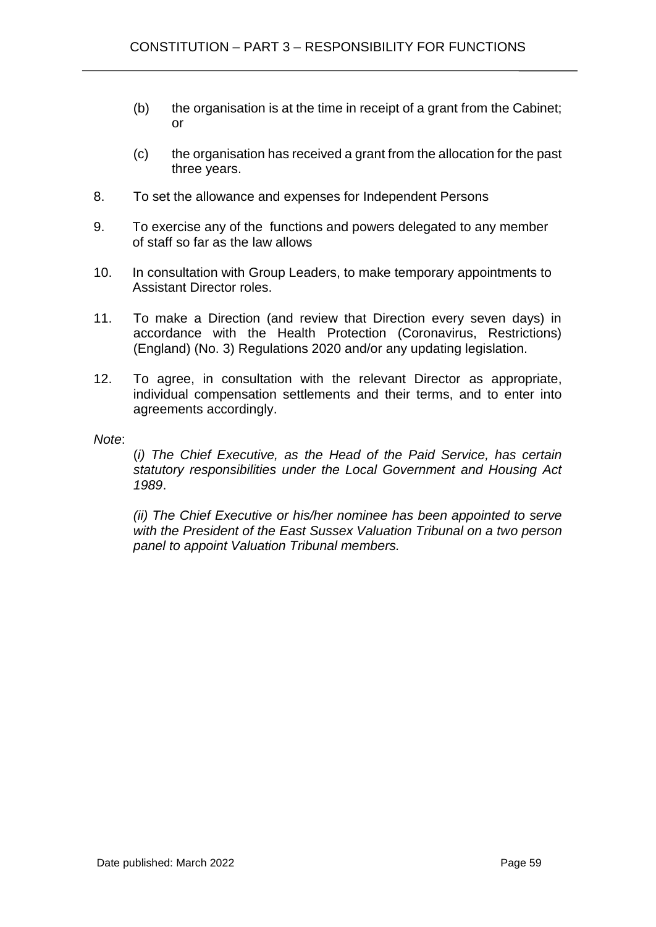- (b) the organisation is at the time in receipt of a grant from the Cabinet; or
- (c) the organisation has received a grant from the allocation for the past three years.
- 8. To set the allowance and expenses for Independent Persons
- 9. To exercise any of the functions and powers delegated to any member of staff so far as the law allows
- 10. In consultation with Group Leaders, to make temporary appointments to Assistant Director roles.
- 11. To make a Direction (and review that Direction every seven days) in accordance with the Health Protection (Coronavirus, Restrictions) (England) (No. 3) Regulations 2020 and/or any updating legislation.
- 12. To agree, in consultation with the relevant Director as appropriate, individual compensation settlements and their terms, and to enter into agreements accordingly.

#### *Note*:

(*i) The Chief Executive, as the Head of the Paid Service, has certain statutory responsibilities under the Local Government and Housing Act 1989*.

*(ii) The Chief Executive or his/her nominee has been appointed to serve with the President of the East Sussex Valuation Tribunal on a two person panel to appoint Valuation Tribunal members.*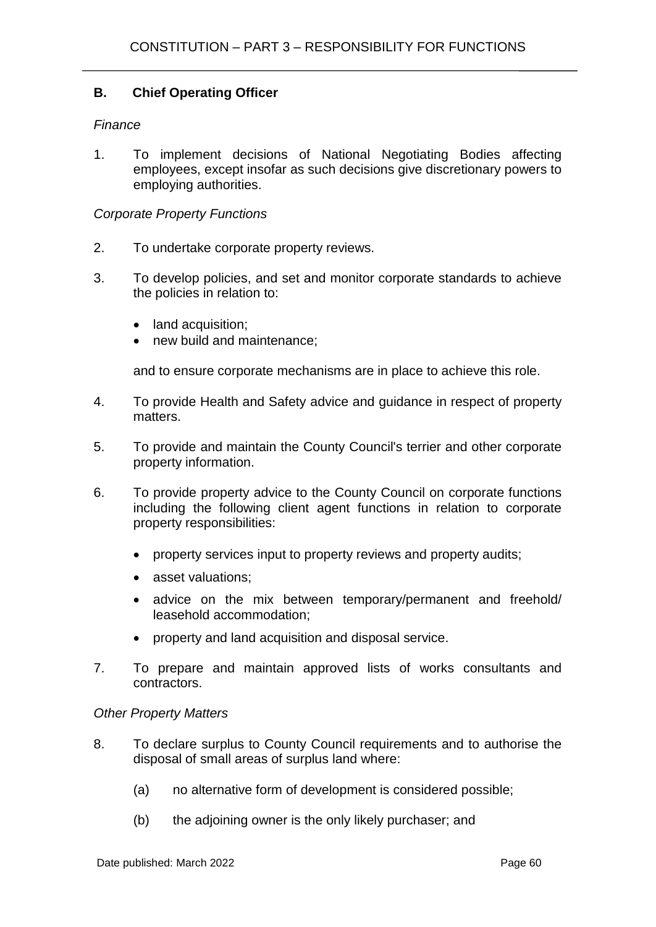# **B. Chief Operating Officer**

#### *Finance*

1. To implement decisions of National Negotiating Bodies affecting employees, except insofar as such decisions give discretionary powers to employing authorities.

#### *Corporate Property Functions*

- 2. To undertake corporate property reviews.
- 3. To develop policies, and set and monitor corporate standards to achieve the policies in relation to:
	- land acquisition;
	- new build and maintenance:

and to ensure corporate mechanisms are in place to achieve this role.

- 4. To provide Health and Safety advice and guidance in respect of property matters.
- 5. To provide and maintain the County Council's terrier and other corporate property information.
- 6. To provide property advice to the County Council on corporate functions including the following client agent functions in relation to corporate property responsibilities:
	- property services input to property reviews and property audits;
	- asset valuations:
	- advice on the mix between temporary/permanent and freehold/ leasehold accommodation;
	- property and land acquisition and disposal service.
- 7. To prepare and maintain approved lists of works consultants and contractors.

#### *Other Property Matters*

- 8. To declare surplus to County Council requirements and to authorise the disposal of small areas of surplus land where:
	- (a) no alternative form of development is considered possible;
	- (b) the adjoining owner is the only likely purchaser; and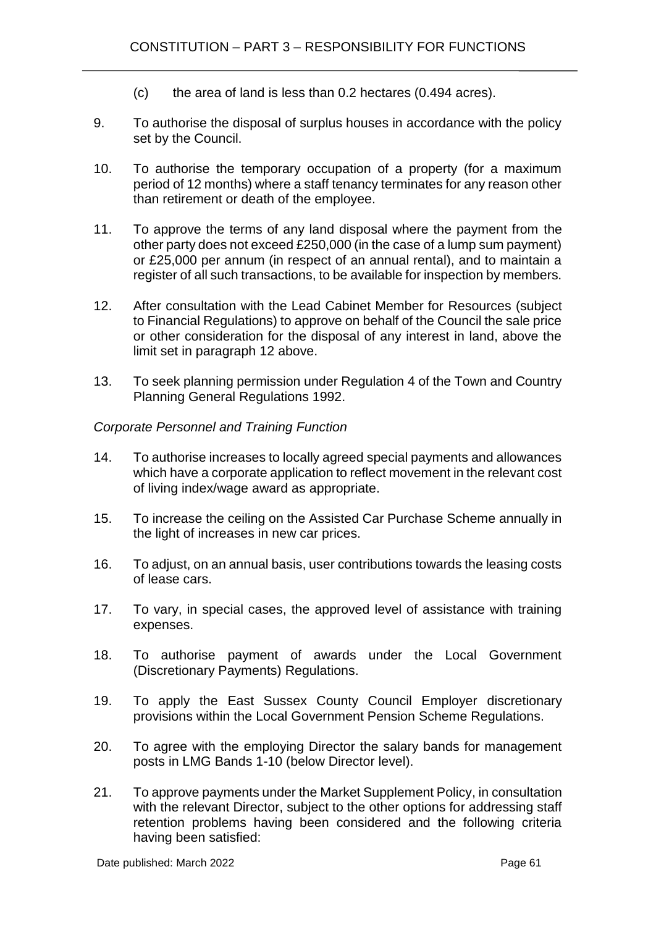- (c) the area of land is less than 0.2 hectares (0.494 acres).
- 9. To authorise the disposal of surplus houses in accordance with the policy set by the Council.
- 10. To authorise the temporary occupation of a property (for a maximum period of 12 months) where a staff tenancy terminates for any reason other than retirement or death of the employee.
- 11. To approve the terms of any land disposal where the payment from the other party does not exceed £250,000 (in the case of a lump sum payment) or £25,000 per annum (in respect of an annual rental), and to maintain a register of all such transactions, to be available for inspection by members.
- 12. After consultation with the Lead Cabinet Member for Resources (subject to Financial Regulations) to approve on behalf of the Council the sale price or other consideration for the disposal of any interest in land, above the limit set in paragraph 12 above.
- 13. To seek planning permission under Regulation 4 of the Town and Country Planning General Regulations 1992.
- *Corporate Personnel and Training Function*
- 14. To authorise increases to locally agreed special payments and allowances which have a corporate application to reflect movement in the relevant cost of living index/wage award as appropriate.
- 15. To increase the ceiling on the Assisted Car Purchase Scheme annually in the light of increases in new car prices.
- 16. To adjust, on an annual basis, user contributions towards the leasing costs of lease cars.
- 17. To vary, in special cases, the approved level of assistance with training expenses.
- 18. To authorise payment of awards under the Local Government (Discretionary Payments) Regulations.
- 19. To apply the East Sussex County Council Employer discretionary provisions within the Local Government Pension Scheme Regulations.
- 20. To agree with the employing Director the salary bands for management posts in LMG Bands 1-10 (below Director level).
- 21. To approve payments under the Market Supplement Policy, in consultation with the relevant Director, subject to the other options for addressing staff retention problems having been considered and the following criteria having been satisfied: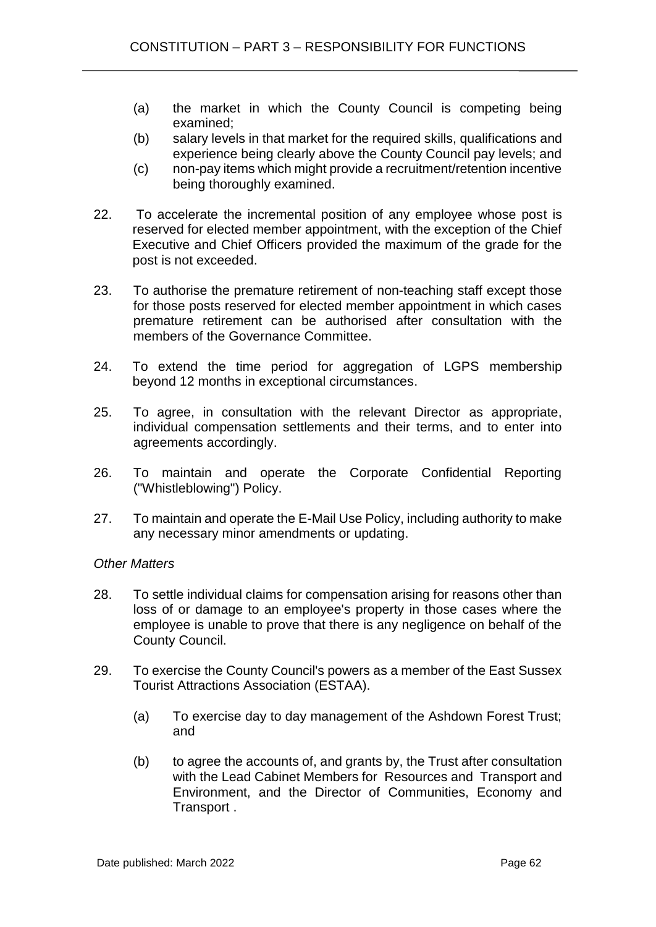- (a) the market in which the County Council is competing being examined;
- (b) salary levels in that market for the required skills, qualifications and experience being clearly above the County Council pay levels; and
- (c) non-pay items which might provide a recruitment/retention incentive being thoroughly examined.
- 22. To accelerate the incremental position of any employee whose post is reserved for elected member appointment, with the exception of the Chief Executive and Chief Officers provided the maximum of the grade for the post is not exceeded.
- 23. To authorise the premature retirement of non-teaching staff except those for those posts reserved for elected member appointment in which cases premature retirement can be authorised after consultation with the members of the Governance Committee.
- 24. To extend the time period for aggregation of LGPS membership beyond 12 months in exceptional circumstances.
- 25. To agree, in consultation with the relevant Director as appropriate, individual compensation settlements and their terms, and to enter into agreements accordingly.
- 26. To maintain and operate the Corporate Confidential Reporting ("Whistleblowing") Policy.
- 27. To maintain and operate the E-Mail Use Policy, including authority to make any necessary minor amendments or updating.

## *Other Matters*

- 28. To settle individual claims for compensation arising for reasons other than loss of or damage to an employee's property in those cases where the employee is unable to prove that there is any negligence on behalf of the County Council.
- 29. To exercise the County Council's powers as a member of the East Sussex Tourist Attractions Association (ESTAA).
	- (a) To exercise day to day management of the Ashdown Forest Trust; and
	- (b) to agree the accounts of, and grants by, the Trust after consultation with the Lead Cabinet Members for Resources and Transport and Environment, and the Director of Communities, Economy and Transport .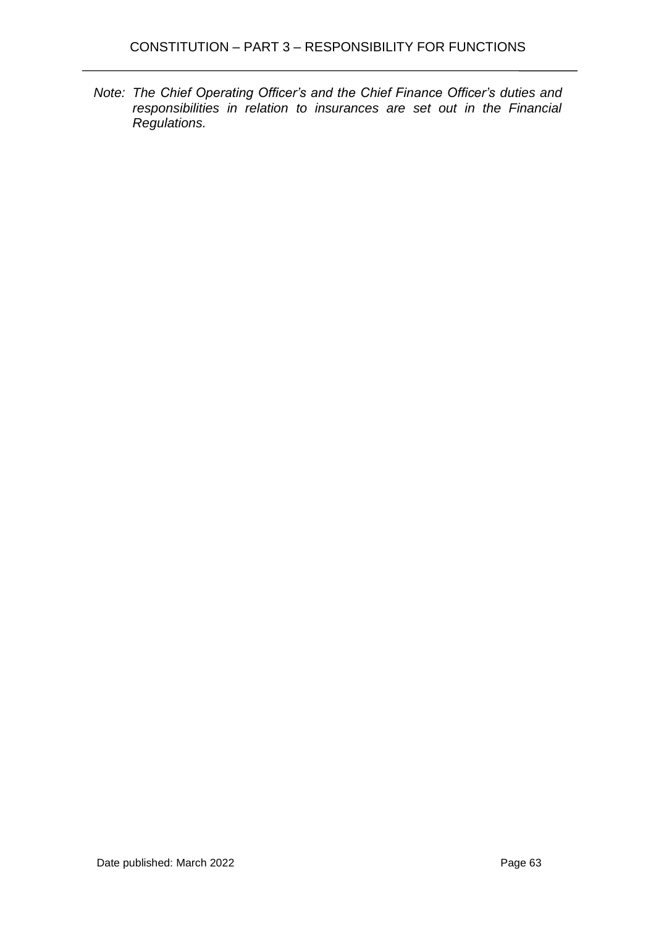*Note: The Chief Operating Officer's and the Chief Finance Officer's duties and responsibilities in relation to insurances are set out in the Financial Regulations.*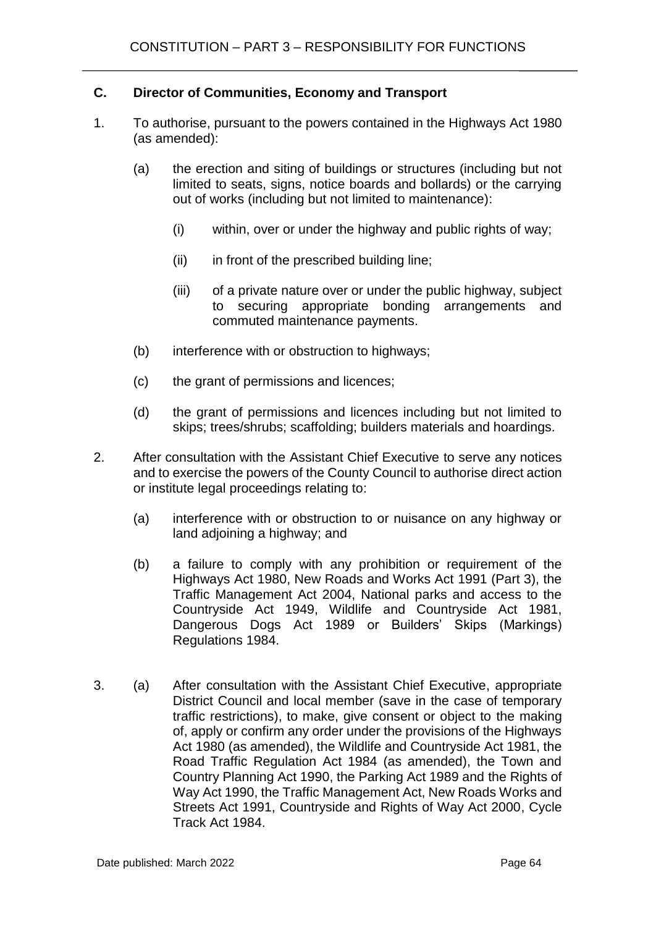## **C. Director of Communities, Economy and Transport**

- 1. To authorise, pursuant to the powers contained in the Highways Act 1980 (as amended):
	- (a) the erection and siting of buildings or structures (including but not limited to seats, signs, notice boards and bollards) or the carrying out of works (including but not limited to maintenance):
		- (i) within, over or under the highway and public rights of way;
		- (ii) in front of the prescribed building line;
		- (iii) of a private nature over or under the public highway, subject to securing appropriate bonding arrangements and commuted maintenance payments.
	- (b) interference with or obstruction to highways;
	- (c) the grant of permissions and licences;
	- (d) the grant of permissions and licences including but not limited to skips; trees/shrubs; scaffolding; builders materials and hoardings.
- 2. After consultation with the Assistant Chief Executive to serve any notices and to exercise the powers of the County Council to authorise direct action or institute legal proceedings relating to:
	- (a) interference with or obstruction to or nuisance on any highway or land adjoining a highway; and
	- (b) a failure to comply with any prohibition or requirement of the Highways Act 1980, New Roads and Works Act 1991 (Part 3), the Traffic Management Act 2004, National parks and access to the Countryside Act 1949, Wildlife and Countryside Act 1981, Dangerous Dogs Act 1989 or Builders' Skips (Markings) Regulations 1984.
- 3. (a) After consultation with the Assistant Chief Executive, appropriate District Council and local member (save in the case of temporary traffic restrictions), to make, give consent or object to the making of, apply or confirm any order under the provisions of the Highways Act 1980 (as amended), the Wildlife and Countryside Act 1981, the Road Traffic Regulation Act 1984 (as amended), the Town and Country Planning Act 1990, the Parking Act 1989 and the Rights of Way Act 1990, the Traffic Management Act, New Roads Works and Streets Act 1991, Countryside and Rights of Way Act 2000, Cycle Track Act 1984.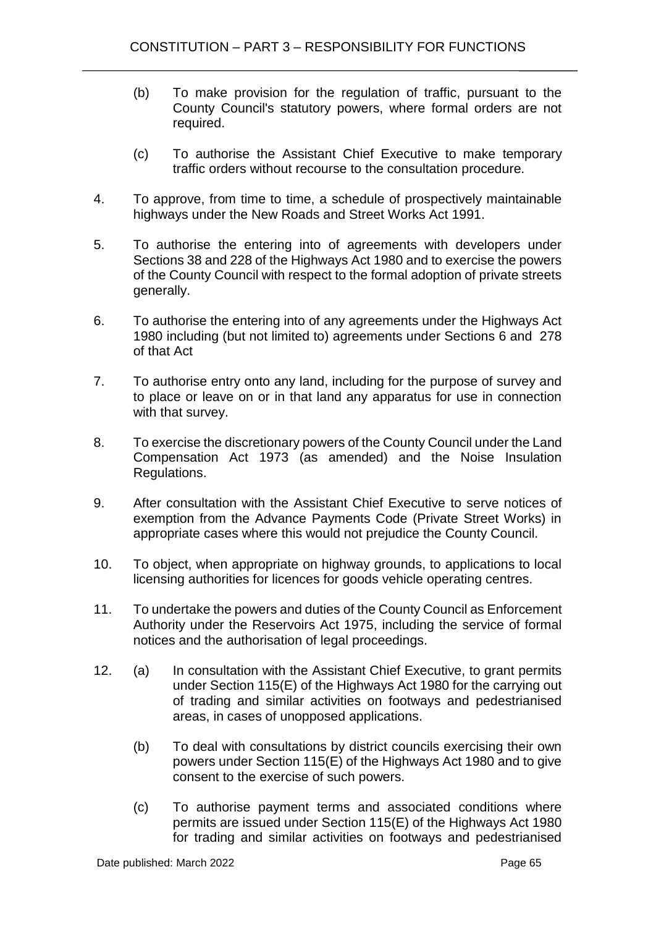- (b) To make provision for the regulation of traffic, pursuant to the County Council's statutory powers, where formal orders are not required.
- (c) To authorise the Assistant Chief Executive to make temporary traffic orders without recourse to the consultation procedure.
- 4. To approve, from time to time, a schedule of prospectively maintainable highways under the New Roads and Street Works Act 1991.
- 5. To authorise the entering into of agreements with developers under Sections 38 and 228 of the Highways Act 1980 and to exercise the powers of the County Council with respect to the formal adoption of private streets generally.
- 6. To authorise the entering into of any agreements under the Highways Act 1980 including (but not limited to) agreements under Sections 6 and 278 of that Act
- 7. To authorise entry onto any land, including for the purpose of survey and to place or leave on or in that land any apparatus for use in connection with that survey.
- 8. To exercise the discretionary powers of the County Council under the Land Compensation Act 1973 (as amended) and the Noise Insulation Regulations.
- 9. After consultation with the Assistant Chief Executive to serve notices of exemption from the Advance Payments Code (Private Street Works) in appropriate cases where this would not prejudice the County Council.
- 10. To object, when appropriate on highway grounds, to applications to local licensing authorities for licences for goods vehicle operating centres.
- 11. To undertake the powers and duties of the County Council as Enforcement Authority under the Reservoirs Act 1975, including the service of formal notices and the authorisation of legal proceedings.
- 12. (a) In consultation with the Assistant Chief Executive, to grant permits under Section 115(E) of the Highways Act 1980 for the carrying out of trading and similar activities on footways and pedestrianised areas, in cases of unopposed applications.
	- (b) To deal with consultations by district councils exercising their own powers under Section 115(E) of the Highways Act 1980 and to give consent to the exercise of such powers.
	- (c) To authorise payment terms and associated conditions where permits are issued under Section 115(E) of the Highways Act 1980 for trading and similar activities on footways and pedestrianised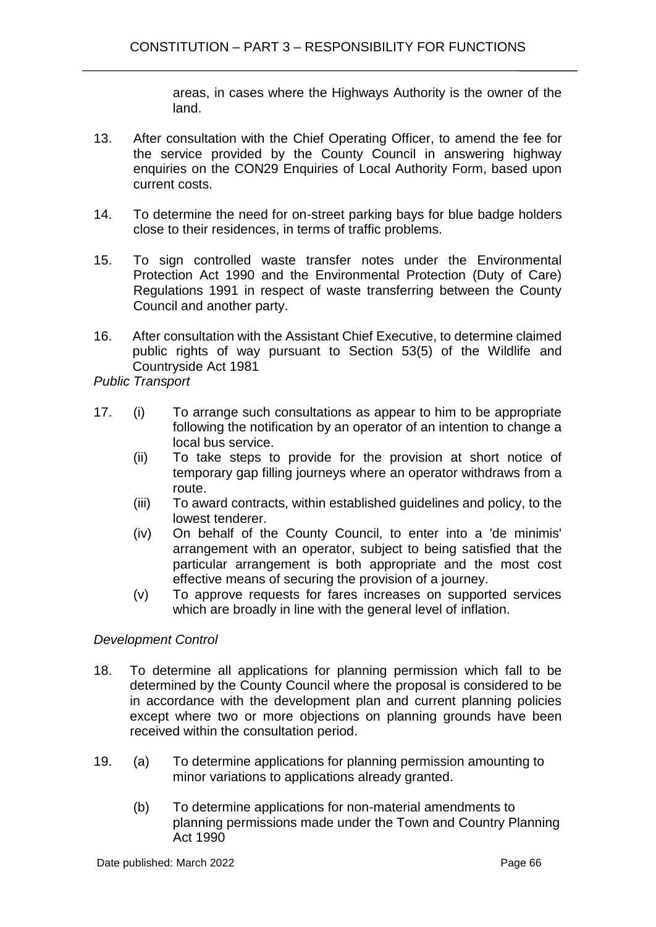areas, in cases where the Highways Authority is the owner of the land.

- 13. After consultation with the Chief Operating Officer, to amend the fee for the service provided by the County Council in answering highway enquiries on the CON29 Enquiries of Local Authority Form, based upon current costs.
- 14. To determine the need for on-street parking bays for blue badge holders close to their residences, in terms of traffic problems.
- 15. To sign controlled waste transfer notes under the Environmental Protection Act 1990 and the Environmental Protection (Duty of Care) Regulations 1991 in respect of waste transferring between the County Council and another party.
- 16. After consultation with the Assistant Chief Executive, to determine claimed public rights of way pursuant to Section 53(5) of the Wildlife and Countryside Act 1981

*Public Transport* 

- 17. (i) To arrange such consultations as appear to him to be appropriate following the notification by an operator of an intention to change a local bus service.
	- (ii) To take steps to provide for the provision at short notice of temporary gap filling journeys where an operator withdraws from a route.
	- (iii) To award contracts, within established guidelines and policy, to the lowest tenderer.
	- (iv) On behalf of the County Council, to enter into a 'de minimis' arrangement with an operator, subject to being satisfied that the particular arrangement is both appropriate and the most cost effective means of securing the provision of a journey.
	- (v) To approve requests for fares increases on supported services which are broadly in line with the general level of inflation.

## *Development Control*

- 18. To determine all applications for planning permission which fall to be determined by the County Council where the proposal is considered to be in accordance with the development plan and current planning policies except where two or more objections on planning grounds have been received within the consultation period.
- 19. (a) To determine applications for planning permission amounting to minor variations to applications already granted.
	- (b) To determine applications for non-material amendments to planning permissions made under the Town and Country Planning Act 1990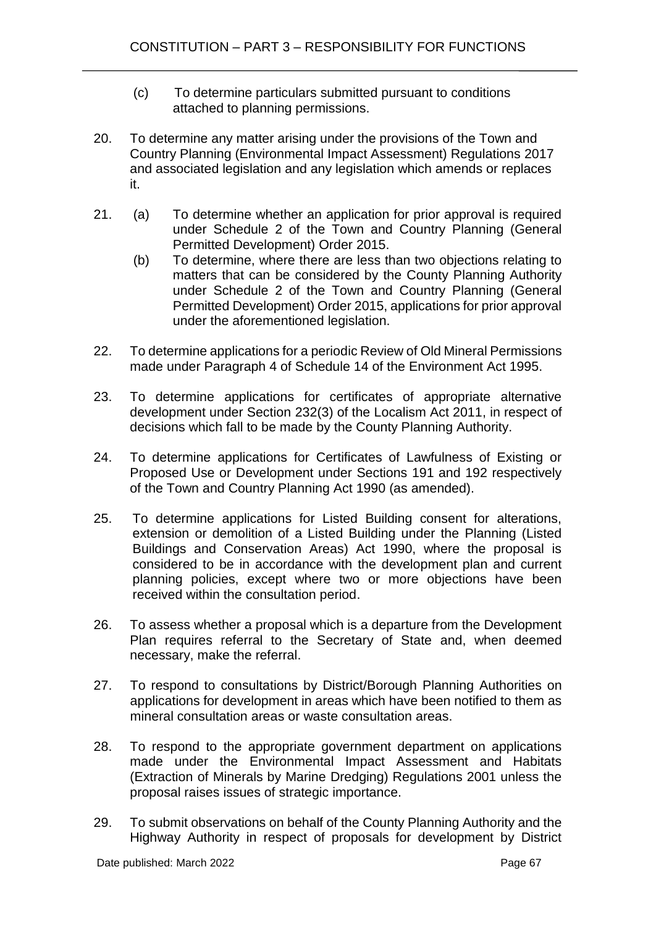- (c) To determine particulars submitted pursuant to conditions attached to planning permissions.
- 20. To determine any matter arising under the provisions of the Town and Country Planning (Environmental Impact Assessment) Regulations 2017 and associated legislation and any legislation which amends or replaces it.
- 21. (a) To determine whether an application for prior approval is required under Schedule 2 of the Town and Country Planning (General Permitted Development) Order 2015.
	- (b) To determine, where there are less than two objections relating to matters that can be considered by the County Planning Authority under Schedule 2 of the Town and Country Planning (General Permitted Development) Order 2015, applications for prior approval under the aforementioned legislation.
- 22. To determine applications for a periodic Review of Old Mineral Permissions made under Paragraph 4 of Schedule 14 of the Environment Act 1995.
- 23. To determine applications for certificates of appropriate alternative development under Section 232(3) of the Localism Act 2011, in respect of decisions which fall to be made by the County Planning Authority.
- 24. To determine applications for Certificates of Lawfulness of Existing or Proposed Use or Development under Sections 191 and 192 respectively of the Town and Country Planning Act 1990 (as amended).
- 25. To determine applications for Listed Building consent for alterations, extension or demolition of a Listed Building under the Planning (Listed Buildings and Conservation Areas) Act 1990, where the proposal is considered to be in accordance with the development plan and current planning policies, except where two or more objections have been received within the consultation period.
- 26. To assess whether a proposal which is a departure from the Development Plan requires referral to the Secretary of State and, when deemed necessary, make the referral.
- 27. To respond to consultations by District/Borough Planning Authorities on applications for development in areas which have been notified to them as mineral consultation areas or waste consultation areas.
- 28. To respond to the appropriate government department on applications made under the Environmental Impact Assessment and Habitats (Extraction of Minerals by Marine Dredging) Regulations 2001 unless the proposal raises issues of strategic importance.
- 29. To submit observations on behalf of the County Planning Authority and the Highway Authority in respect of proposals for development by District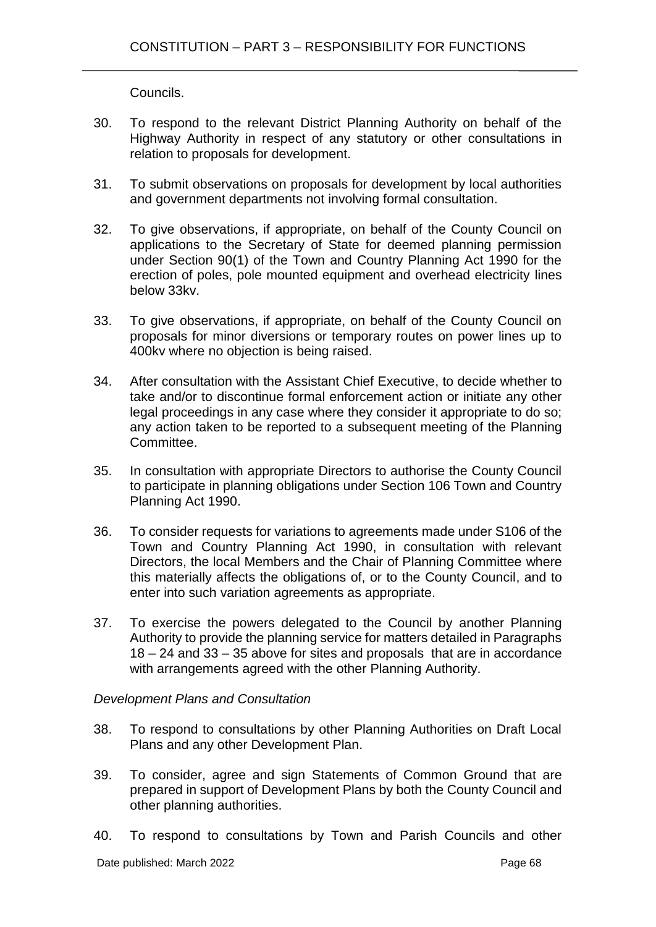Councils.

- 30. To respond to the relevant District Planning Authority on behalf of the Highway Authority in respect of any statutory or other consultations in relation to proposals for development.
- 31. To submit observations on proposals for development by local authorities and government departments not involving formal consultation.
- 32. To give observations, if appropriate, on behalf of the County Council on applications to the Secretary of State for deemed planning permission under Section 90(1) of the Town and Country Planning Act 1990 for the erection of poles, pole mounted equipment and overhead electricity lines below 33kv.
- 33. To give observations, if appropriate, on behalf of the County Council on proposals for minor diversions or temporary routes on power lines up to 400kv where no objection is being raised.
- 34. After consultation with the Assistant Chief Executive, to decide whether to take and/or to discontinue formal enforcement action or initiate any other legal proceedings in any case where they consider it appropriate to do so; any action taken to be reported to a subsequent meeting of the Planning Committee.
- 35. In consultation with appropriate Directors to authorise the County Council to participate in planning obligations under Section 106 Town and Country Planning Act 1990.
- 36. To consider requests for variations to agreements made under S106 of the Town and Country Planning Act 1990, in consultation with relevant Directors, the local Members and the Chair of Planning Committee where this materially affects the obligations of, or to the County Council, and to enter into such variation agreements as appropriate.
- 37. To exercise the powers delegated to the Council by another Planning Authority to provide the planning service for matters detailed in Paragraphs 18 – 24 and 33 – 35 above for sites and proposals that are in accordance with arrangements agreed with the other Planning Authority.

## *Development Plans and Consultation*

- 38. To respond to consultations by other Planning Authorities on Draft Local Plans and any other Development Plan.
- 39. To consider, agree and sign Statements of Common Ground that are prepared in support of Development Plans by both the County Council and other planning authorities.
- 40. To respond to consultations by Town and Parish Councils and other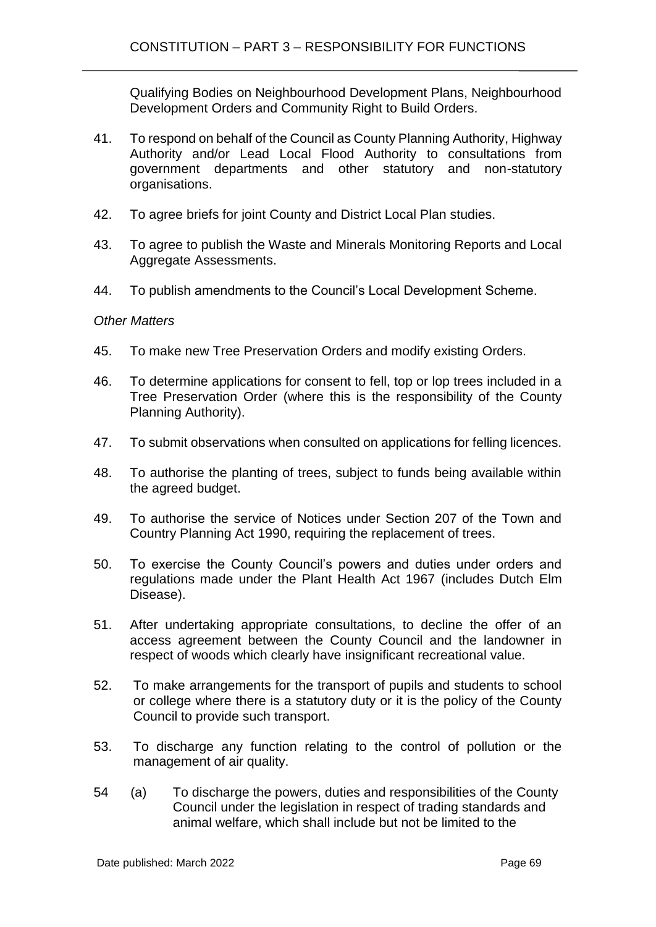Qualifying Bodies on Neighbourhood Development Plans, Neighbourhood Development Orders and Community Right to Build Orders.

- 41. To respond on behalf of the Council as County Planning Authority, Highway Authority and/or Lead Local Flood Authority to consultations from government departments and other statutory and non-statutory organisations.
- 42. To agree briefs for joint County and District Local Plan studies.
- 43. To agree to publish the Waste and Minerals Monitoring Reports and Local Aggregate Assessments.
- 44. To publish amendments to the Council's Local Development Scheme.

#### *Other Matters*

- 45. To make new Tree Preservation Orders and modify existing Orders.
- 46. To determine applications for consent to fell, top or lop trees included in a Tree Preservation Order (where this is the responsibility of the County Planning Authority).
- 47. To submit observations when consulted on applications for felling licences.
- 48. To authorise the planting of trees, subject to funds being available within the agreed budget.
- 49. To authorise the service of Notices under Section 207 of the Town and Country Planning Act 1990, requiring the replacement of trees.
- 50. To exercise the County Council's powers and duties under orders and regulations made under the Plant Health Act 1967 (includes Dutch Elm Disease).
- 51. After undertaking appropriate consultations, to decline the offer of an access agreement between the County Council and the landowner in respect of woods which clearly have insignificant recreational value.
- 52. To make arrangements for the transport of pupils and students to school or college where there is a statutory duty or it is the policy of the County Council to provide such transport.
- 53. To discharge any function relating to the control of pollution or the management of air quality.
- 54 (a) To discharge the powers, duties and responsibilities of the County Council under the legislation in respect of trading standards and animal welfare, which shall include but not be limited to the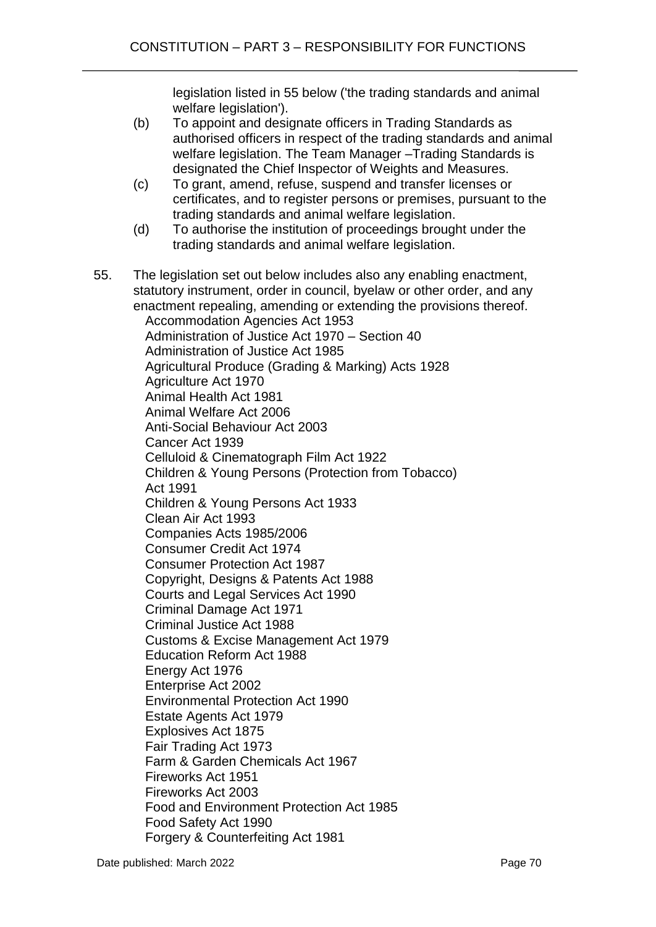legislation listed in 55 below ('the trading standards and animal welfare legislation').

- (b) To appoint and designate officers in Trading Standards as authorised officers in respect of the trading standards and animal welfare legislation. The Team Manager – Trading Standards is designated the Chief Inspector of Weights and Measures.
- (c) To grant, amend, refuse, suspend and transfer licenses or certificates, and to register persons or premises, pursuant to the trading standards and animal welfare legislation.
- (d) To authorise the institution of proceedings brought under the trading standards and animal welfare legislation.
- 55. The legislation set out below includes also any enabling enactment, statutory instrument, order in council, byelaw or other order, and any enactment repealing, amending or extending the provisions thereof. Accommodation Agencies Act 1953 Administration of Justice Act 1970 – Section 40 Administration of Justice Act 1985 Agricultural Produce (Grading & Marking) Acts 1928 Agriculture Act 1970 Animal Health Act 1981 Animal Welfare Act 2006 Anti-Social Behaviour Act 2003 Cancer Act 1939 Celluloid & Cinematograph Film Act 1922 Children & Young Persons (Protection from Tobacco) Act 1991 Children & Young Persons Act 1933 Clean Air Act 1993 Companies Acts 1985/2006 Consumer Credit Act 1974 Consumer Protection Act 1987 Copyright, Designs & Patents Act 1988 Courts and Legal Services Act 1990 Criminal Damage Act 1971 Criminal Justice Act 1988 Customs & Excise Management Act 1979 Education Reform Act 1988 Energy Act 1976 Enterprise Act 2002 Environmental Protection Act 1990 Estate Agents Act 1979 Explosives Act 1875 Fair Trading Act 1973 Farm & Garden Chemicals Act 1967 Fireworks Act 1951 Fireworks Act 2003 Food and Environment Protection Act 1985 Food Safety Act 1990 Forgery & Counterfeiting Act 1981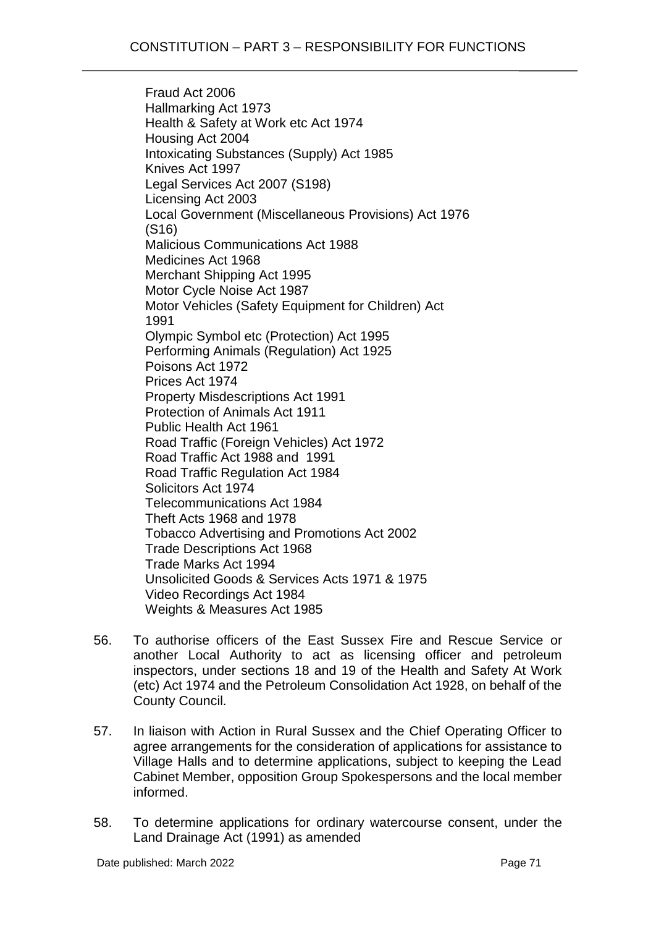Fraud Act 2006 Hallmarking Act 1973 Health & Safety at Work etc Act 1974 Housing Act 2004 Intoxicating Substances (Supply) Act 1985 Knives Act 1997 Legal Services Act 2007 (S198) Licensing Act 2003 Local Government (Miscellaneous Provisions) Act 1976 (S16) Malicious Communications Act 1988 Medicines Act 1968 Merchant Shipping Act 1995 Motor Cycle Noise Act 1987 Motor Vehicles (Safety Equipment for Children) Act 1991 Olympic Symbol etc (Protection) Act 1995 Performing Animals (Regulation) Act 1925 Poisons Act 1972 Prices Act 1974 Property Misdescriptions Act 1991 Protection of Animals Act 1911 Public Health Act 1961 Road Traffic (Foreign Vehicles) Act 1972 Road Traffic Act 1988 and 1991 Road Traffic Regulation Act 1984 Solicitors Act 1974 Telecommunications Act 1984 Theft Acts 1968 and 1978 Tobacco Advertising and Promotions Act 2002 Trade Descriptions Act 1968 Trade Marks Act 1994 Unsolicited Goods & Services Acts 1971 & 1975 Video Recordings Act 1984 Weights & Measures Act 1985

- 56. To authorise officers of the East Sussex Fire and Rescue Service or another Local Authority to act as licensing officer and petroleum inspectors, under sections 18 and 19 of the Health and Safety At Work (etc) Act 1974 and the Petroleum Consolidation Act 1928, on behalf of the County Council.
- 57. In liaison with Action in Rural Sussex and the Chief Operating Officer to agree arrangements for the consideration of applications for assistance to Village Halls and to determine applications, subject to keeping the Lead Cabinet Member, opposition Group Spokespersons and the local member informed.
- 58. To determine applications for ordinary watercourse consent, under the Land Drainage Act (1991) as amended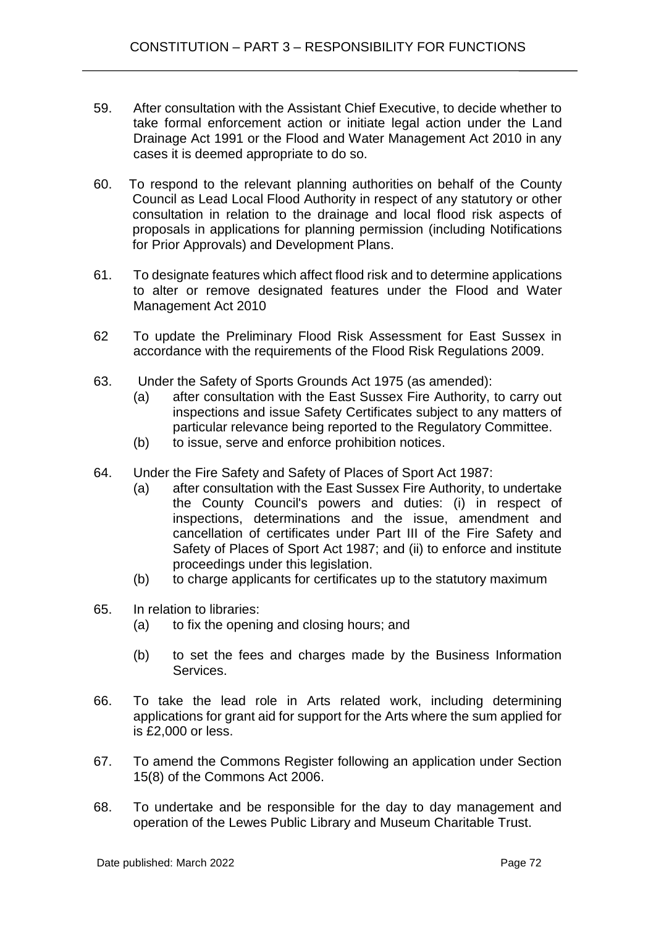- 59. After consultation with the Assistant Chief Executive, to decide whether to take formal enforcement action or initiate legal action under the Land Drainage Act 1991 or the Flood and Water Management Act 2010 in any cases it is deemed appropriate to do so.
- 60. To respond to the relevant planning authorities on behalf of the County Council as Lead Local Flood Authority in respect of any statutory or other consultation in relation to the drainage and local flood risk aspects of proposals in applications for planning permission (including Notifications for Prior Approvals) and Development Plans.
- 61. To designate features which affect flood risk and to determine applications to alter or remove designated features under the Flood and Water Management Act 2010
- 62 To update the Preliminary Flood Risk Assessment for East Sussex in accordance with the requirements of the Flood Risk Regulations 2009.
- 63. Under the Safety of Sports Grounds Act 1975 (as amended):
	- (a) after consultation with the East Sussex Fire Authority, to carry out inspections and issue Safety Certificates subject to any matters of particular relevance being reported to the Regulatory Committee.
	- (b) to issue, serve and enforce prohibition notices.
- 64. Under the Fire Safety and Safety of Places of Sport Act 1987:
	- (a) after consultation with the East Sussex Fire Authority, to undertake the County Council's powers and duties: (i) in respect of inspections, determinations and the issue, amendment and cancellation of certificates under Part III of the Fire Safety and Safety of Places of Sport Act 1987; and (ii) to enforce and institute proceedings under this legislation.
	- (b) to charge applicants for certificates up to the statutory maximum
- 65. In relation to libraries:
	- (a) to fix the opening and closing hours; and
	- (b) to set the fees and charges made by the Business Information Services.
- 66. To take the lead role in Arts related work, including determining applications for grant aid for support for the Arts where the sum applied for is £2,000 or less.
- 67. To amend the Commons Register following an application under Section 15(8) of the Commons Act 2006.
- 68. To undertake and be responsible for the day to day management and operation of the Lewes Public Library and Museum Charitable Trust.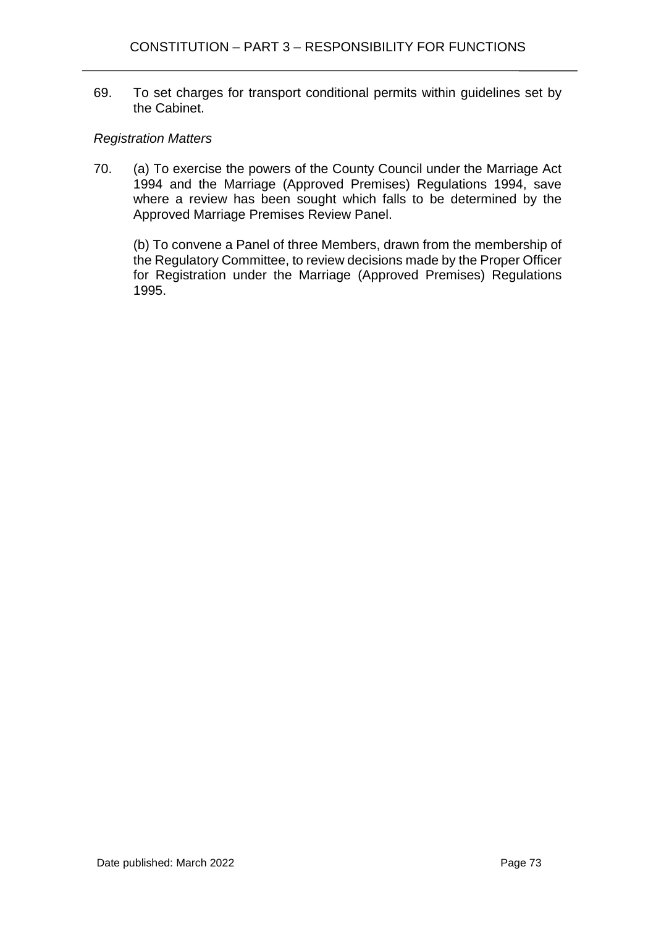69. To set charges for transport conditional permits within guidelines set by the Cabinet.

## *Registration Matters*

70. (a) To exercise the powers of the County Council under the Marriage Act 1994 and the Marriage (Approved Premises) Regulations 1994, save where a review has been sought which falls to be determined by the Approved Marriage Premises Review Panel.

(b) To convene a Panel of three Members, drawn from the membership of the Regulatory Committee, to review decisions made by the Proper Officer for Registration under the Marriage (Approved Premises) Regulations 1995.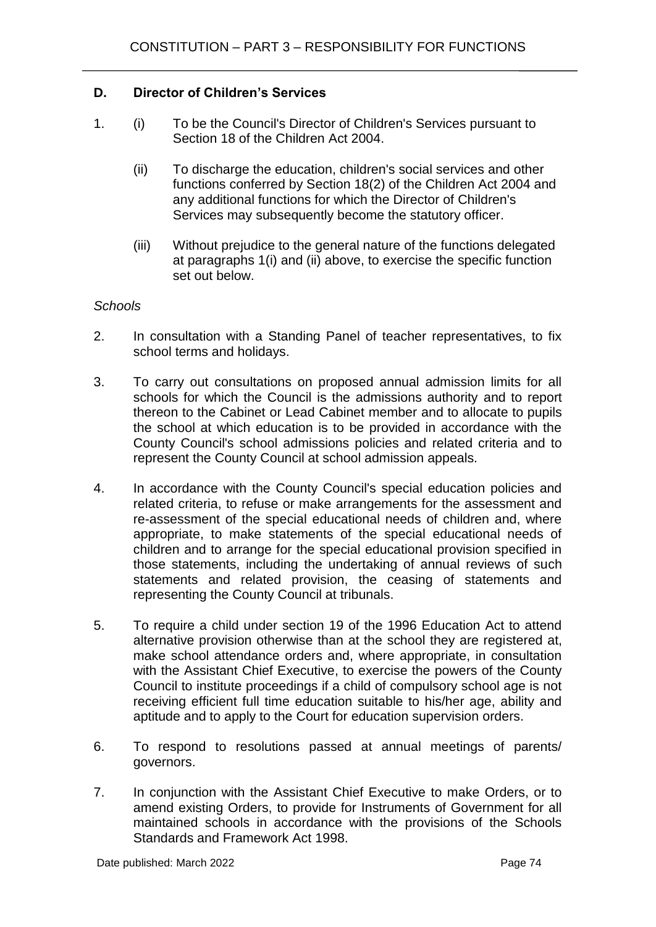# **D. Director of Children's Services**

- 1. (i) To be the Council's Director of Children's Services pursuant to Section 18 of the Children Act 2004.
	- (ii) To discharge the education, children's social services and other functions conferred by Section 18(2) of the Children Act 2004 and any additional functions for which the Director of Children's Services may subsequently become the statutory officer.
	- (iii) Without prejudice to the general nature of the functions delegated at paragraphs 1(i) and (ii) above, to exercise the specific function set out below.

#### *Schools*

- 2. In consultation with a Standing Panel of teacher representatives, to fix school terms and holidays.
- 3. To carry out consultations on proposed annual admission limits for all schools for which the Council is the admissions authority and to report thereon to the Cabinet or Lead Cabinet member and to allocate to pupils the school at which education is to be provided in accordance with the County Council's school admissions policies and related criteria and to represent the County Council at school admission appeals.
- 4. In accordance with the County Council's special education policies and related criteria, to refuse or make arrangements for the assessment and re-assessment of the special educational needs of children and, where appropriate, to make statements of the special educational needs of children and to arrange for the special educational provision specified in those statements, including the undertaking of annual reviews of such statements and related provision, the ceasing of statements and representing the County Council at tribunals.
- 5. To require a child under section 19 of the 1996 Education Act to attend alternative provision otherwise than at the school they are registered at, make school attendance orders and, where appropriate, in consultation with the Assistant Chief Executive, to exercise the powers of the County Council to institute proceedings if a child of compulsory school age is not receiving efficient full time education suitable to his/her age, ability and aptitude and to apply to the Court for education supervision orders.
- 6. To respond to resolutions passed at annual meetings of parents/ governors.
- 7. In conjunction with the Assistant Chief Executive to make Orders, or to amend existing Orders, to provide for Instruments of Government for all maintained schools in accordance with the provisions of the Schools Standards and Framework Act 1998.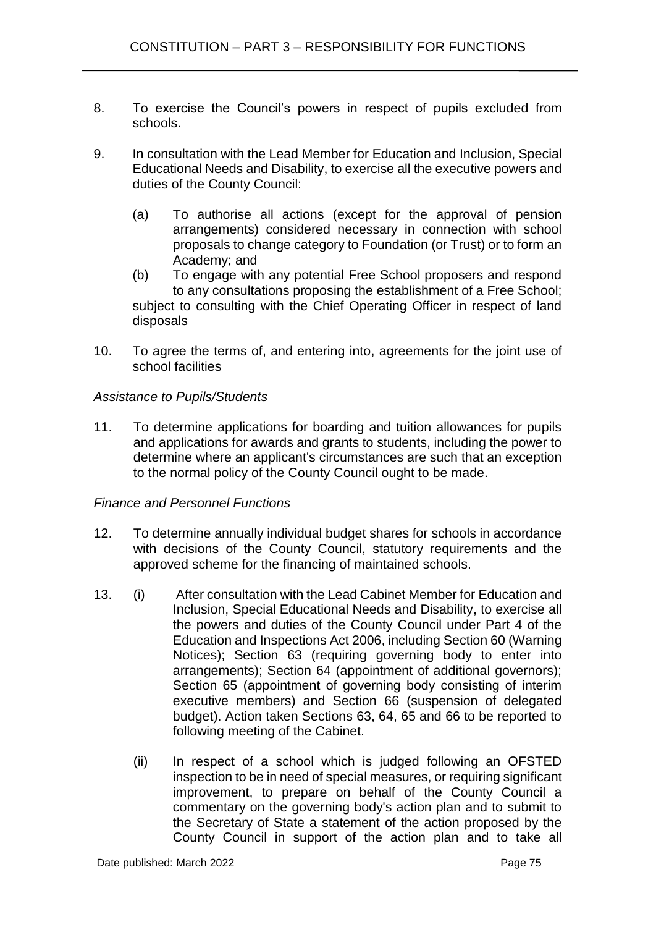- 8. To exercise the Council's powers in respect of pupils excluded from schools.
- 9. In consultation with the Lead Member for Education and Inclusion, Special Educational Needs and Disability, to exercise all the executive powers and duties of the County Council:
	- (a) To authorise all actions (except for the approval of pension arrangements) considered necessary in connection with school proposals to change category to Foundation (or Trust) or to form an Academy; and
	- (b) To engage with any potential Free School proposers and respond to any consultations proposing the establishment of a Free School; subject to consulting with the Chief Operating Officer in respect of land disposals
- 10. To agree the terms of, and entering into, agreements for the joint use of school facilities

## *Assistance to Pupils/Students*

11. To determine applications for boarding and tuition allowances for pupils and applications for awards and grants to students, including the power to determine where an applicant's circumstances are such that an exception to the normal policy of the County Council ought to be made.

## *Finance and Personnel Functions*

- 12. To determine annually individual budget shares for schools in accordance with decisions of the County Council, statutory requirements and the approved scheme for the financing of maintained schools.
- 13. (i) After consultation with the Lead Cabinet Member for Education and Inclusion, Special Educational Needs and Disability, to exercise all the powers and duties of the County Council under Part 4 of the Education and Inspections Act 2006, including Section 60 (Warning Notices); Section 63 (requiring governing body to enter into arrangements); Section 64 (appointment of additional governors); Section 65 (appointment of governing body consisting of interim executive members) and Section 66 (suspension of delegated budget). Action taken Sections 63, 64, 65 and 66 to be reported to following meeting of the Cabinet.
	- (ii) In respect of a school which is judged following an OFSTED inspection to be in need of special measures, or requiring significant improvement, to prepare on behalf of the County Council a commentary on the governing body's action plan and to submit to the Secretary of State a statement of the action proposed by the County Council in support of the action plan and to take all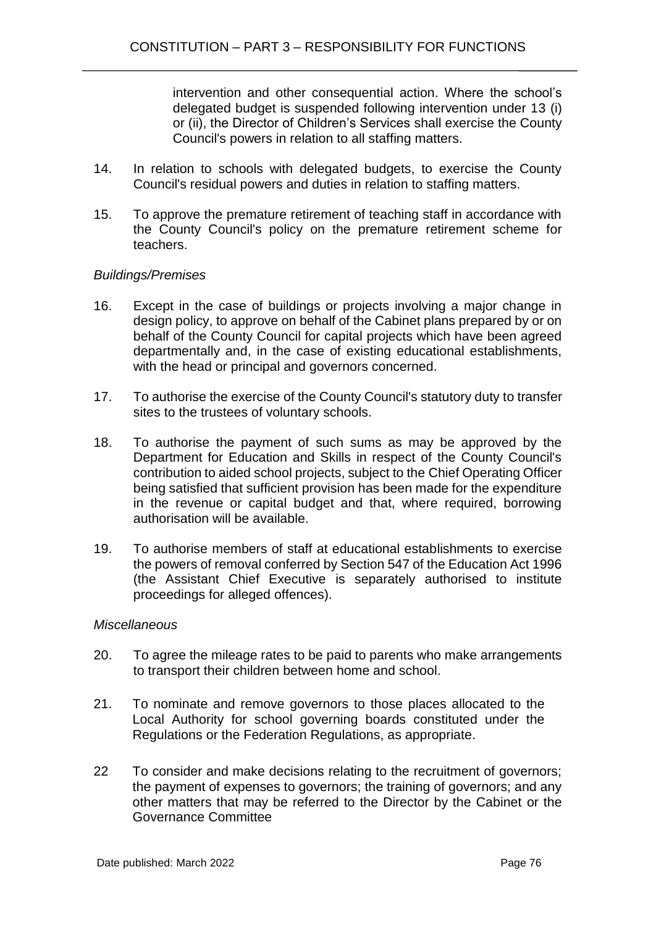intervention and other consequential action. Where the school's delegated budget is suspended following intervention under 13 (i) or (ii), the Director of Children's Services shall exercise the County Council's powers in relation to all staffing matters.

- 14. In relation to schools with delegated budgets, to exercise the County Council's residual powers and duties in relation to staffing matters.
- 15. To approve the premature retirement of teaching staff in accordance with the County Council's policy on the premature retirement scheme for teachers.

## *Buildings/Premises*

- 16. Except in the case of buildings or projects involving a major change in design policy, to approve on behalf of the Cabinet plans prepared by or on behalf of the County Council for capital projects which have been agreed departmentally and, in the case of existing educational establishments, with the head or principal and governors concerned.
- 17. To authorise the exercise of the County Council's statutory duty to transfer sites to the trustees of voluntary schools.
- 18. To authorise the payment of such sums as may be approved by the Department for Education and Skills in respect of the County Council's contribution to aided school projects, subject to the Chief Operating Officer being satisfied that sufficient provision has been made for the expenditure in the revenue or capital budget and that, where required, borrowing authorisation will be available.
- 19. To authorise members of staff at educational establishments to exercise the powers of removal conferred by Section 547 of the Education Act 1996 (the Assistant Chief Executive is separately authorised to institute proceedings for alleged offences).

#### *Miscellaneous*

- 20. To agree the mileage rates to be paid to parents who make arrangements to transport their children between home and school.
- 21. To nominate and remove governors to those places allocated to the Local Authority for school governing boards constituted under the Regulations or the Federation Regulations, as appropriate.
- 22 To consider and make decisions relating to the recruitment of governors; the payment of expenses to governors; the training of governors; and any other matters that may be referred to the Director by the Cabinet or the Governance Committee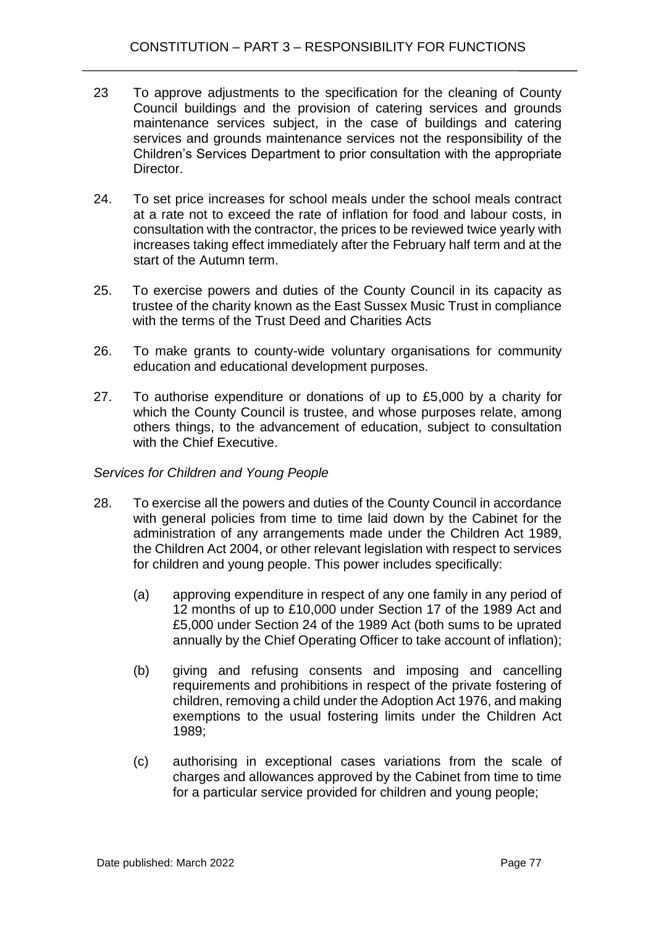- 23 To approve adjustments to the specification for the cleaning of County Council buildings and the provision of catering services and grounds maintenance services subject, in the case of buildings and catering services and grounds maintenance services not the responsibility of the Children's Services Department to prior consultation with the appropriate Director.
- 24. To set price increases for school meals under the school meals contract at a rate not to exceed the rate of inflation for food and labour costs, in consultation with the contractor, the prices to be reviewed twice yearly with increases taking effect immediately after the February half term and at the start of the Autumn term.
- 25. To exercise powers and duties of the County Council in its capacity as trustee of the charity known as the East Sussex Music Trust in compliance with the terms of the Trust Deed and Charities Acts
- 26. To make grants to county-wide voluntary organisations for community education and educational development purposes.
- 27. To authorise expenditure or donations of up to £5,000 by a charity for which the County Council is trustee, and whose purposes relate, among others things, to the advancement of education, subject to consultation with the Chief Executive.

## *Services for Children and Young People*

- 28. To exercise all the powers and duties of the County Council in accordance with general policies from time to time laid down by the Cabinet for the administration of any arrangements made under the Children Act 1989, the Children Act 2004, or other relevant legislation with respect to services for children and young people. This power includes specifically:
	- (a) approving expenditure in respect of any one family in any period of 12 months of up to £10,000 under Section 17 of the 1989 Act and £5,000 under Section 24 of the 1989 Act (both sums to be uprated annually by the Chief Operating Officer to take account of inflation);
	- (b) giving and refusing consents and imposing and cancelling requirements and prohibitions in respect of the private fostering of children, removing a child under the Adoption Act 1976, and making exemptions to the usual fostering limits under the Children Act 1989;
	- (c) authorising in exceptional cases variations from the scale of charges and allowances approved by the Cabinet from time to time for a particular service provided for children and young people;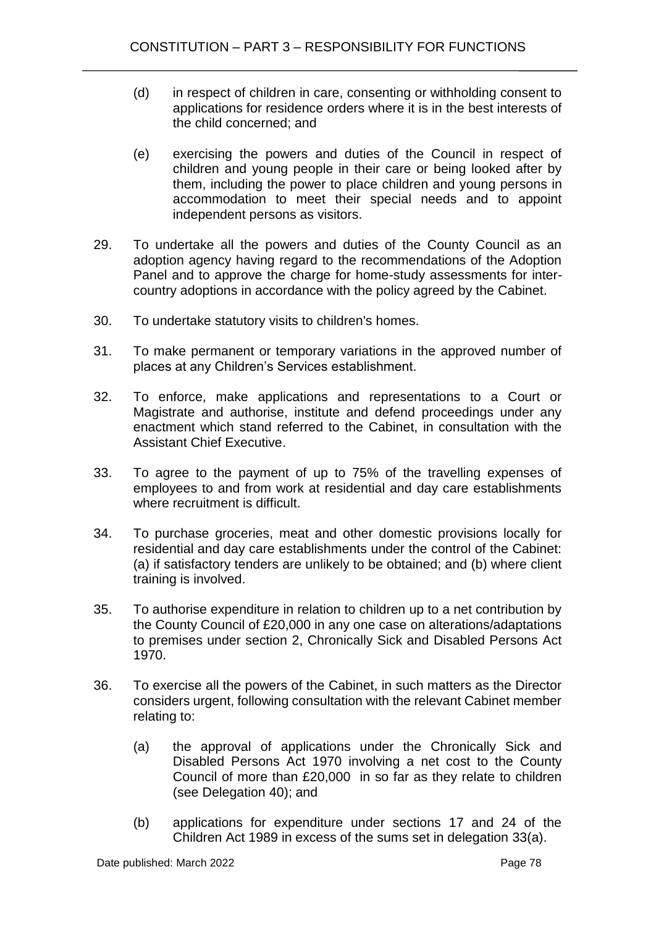- (d) in respect of children in care, consenting or withholding consent to applications for residence orders where it is in the best interests of the child concerned; and
- (e) exercising the powers and duties of the Council in respect of children and young people in their care or being looked after by them, including the power to place children and young persons in accommodation to meet their special needs and to appoint independent persons as visitors.
- 29. To undertake all the powers and duties of the County Council as an adoption agency having regard to the recommendations of the Adoption Panel and to approve the charge for home-study assessments for intercountry adoptions in accordance with the policy agreed by the Cabinet.
- 30. To undertake statutory visits to children's homes.
- 31. To make permanent or temporary variations in the approved number of places at any Children's Services establishment.
- 32. To enforce, make applications and representations to a Court or Magistrate and authorise, institute and defend proceedings under any enactment which stand referred to the Cabinet, in consultation with the Assistant Chief Executive.
- 33. To agree to the payment of up to 75% of the travelling expenses of employees to and from work at residential and day care establishments where recruitment is difficult.
- 34. To purchase groceries, meat and other domestic provisions locally for residential and day care establishments under the control of the Cabinet: (a) if satisfactory tenders are unlikely to be obtained; and (b) where client training is involved.
- 35. To authorise expenditure in relation to children up to a net contribution by the County Council of £20,000 in any one case on alterations/adaptations to premises under section 2, Chronically Sick and Disabled Persons Act 1970.
- 36. To exercise all the powers of the Cabinet, in such matters as the Director considers urgent, following consultation with the relevant Cabinet member relating to:
	- (a) the approval of applications under the Chronically Sick and Disabled Persons Act 1970 involving a net cost to the County Council of more than £20,000 in so far as they relate to children (see Delegation 40); and
	- (b) applications for expenditure under sections 17 and 24 of the Children Act 1989 in excess of the sums set in delegation 33(a).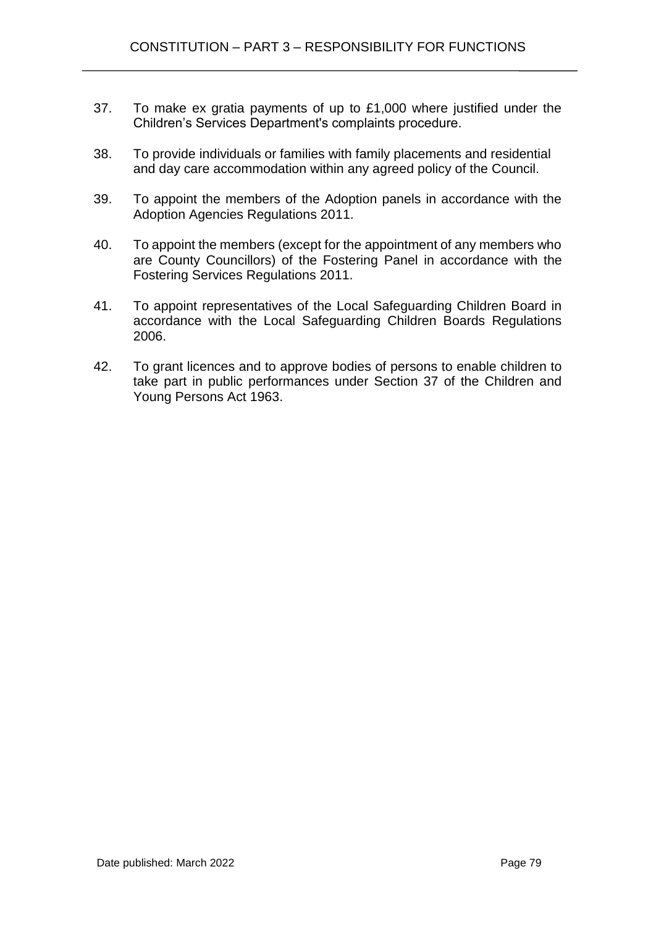- 37. To make ex gratia payments of up to £1,000 where justified under the Children's Services Department's complaints procedure.
- 38. To provide individuals or families with family placements and residential and day care accommodation within any agreed policy of the Council.
- 39. To appoint the members of the Adoption panels in accordance with the Adoption Agencies Regulations 2011.
- 40. To appoint the members (except for the appointment of any members who are County Councillors) of the Fostering Panel in accordance with the Fostering Services Regulations 2011.
- 41. To appoint representatives of the Local Safeguarding Children Board in accordance with the Local Safeguarding Children Boards Regulations 2006.
- 42. To grant licences and to approve bodies of persons to enable children to take part in public performances under Section 37 of the Children and Young Persons Act 1963.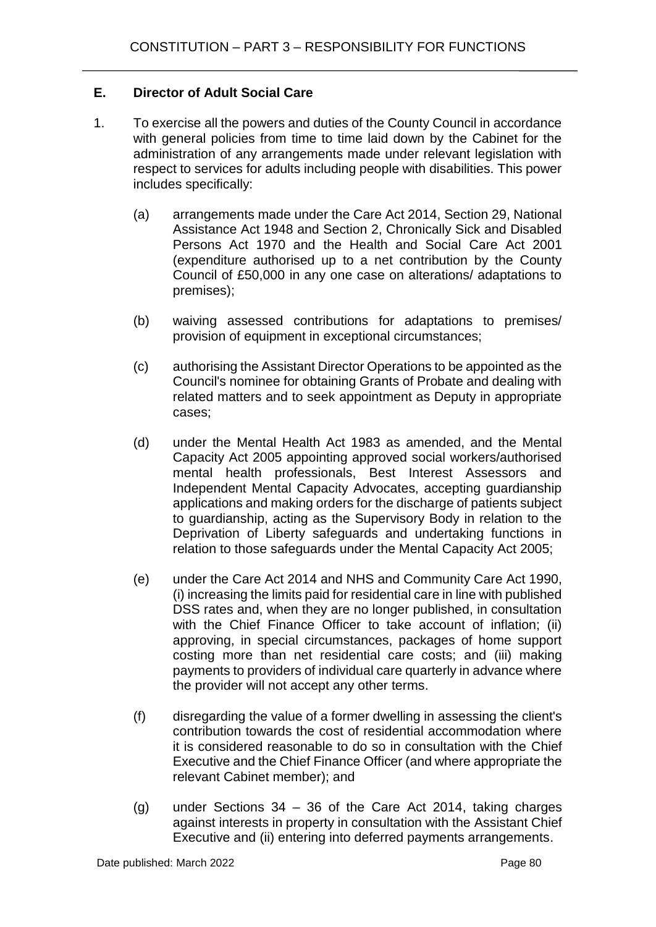## **E. Director of Adult Social Care**

- 1. To exercise all the powers and duties of the County Council in accordance with general policies from time to time laid down by the Cabinet for the administration of any arrangements made under relevant legislation with respect to services for adults including people with disabilities. This power includes specifically:
	- (a) arrangements made under the Care Act 2014, Section 29, National Assistance Act 1948 and Section 2, Chronically Sick and Disabled Persons Act 1970 and the Health and Social Care Act 2001 (expenditure authorised up to a net contribution by the County Council of £50,000 in any one case on alterations/ adaptations to premises);
	- (b) waiving assessed contributions for adaptations to premises/ provision of equipment in exceptional circumstances;
	- (c) authorising the Assistant Director Operations to be appointed as the Council's nominee for obtaining Grants of Probate and dealing with related matters and to seek appointment as Deputy in appropriate cases;
	- (d) under the Mental Health Act 1983 as amended, and the Mental Capacity Act 2005 appointing approved social workers/authorised mental health professionals, Best Interest Assessors and Independent Mental Capacity Advocates, accepting guardianship applications and making orders for the discharge of patients subject to guardianship, acting as the Supervisory Body in relation to the Deprivation of Liberty safeguards and undertaking functions in relation to those safeguards under the Mental Capacity Act 2005;
	- (e) under the Care Act 2014 and NHS and Community Care Act 1990, (i) increasing the limits paid for residential care in line with published DSS rates and, when they are no longer published, in consultation with the Chief Finance Officer to take account of inflation; (ii) approving, in special circumstances, packages of home support costing more than net residential care costs; and (iii) making payments to providers of individual care quarterly in advance where the provider will not accept any other terms.
	- (f) disregarding the value of a former dwelling in assessing the client's contribution towards the cost of residential accommodation where it is considered reasonable to do so in consultation with the Chief Executive and the Chief Finance Officer (and where appropriate the relevant Cabinet member); and
	- (g) under Sections 34 36 of the Care Act 2014, taking charges against interests in property in consultation with the Assistant Chief Executive and (ii) entering into deferred payments arrangements.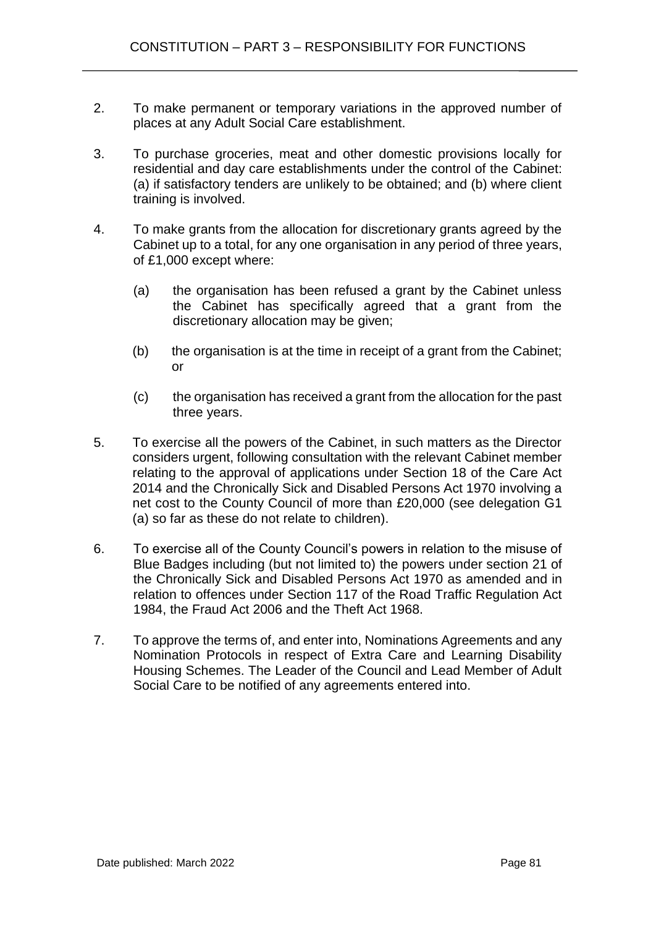- 2. To make permanent or temporary variations in the approved number of places at any Adult Social Care establishment.
- 3. To purchase groceries, meat and other domestic provisions locally for residential and day care establishments under the control of the Cabinet: (a) if satisfactory tenders are unlikely to be obtained; and (b) where client training is involved.
- 4. To make grants from the allocation for discretionary grants agreed by the Cabinet up to a total, for any one organisation in any period of three years, of £1,000 except where:
	- (a) the organisation has been refused a grant by the Cabinet unless the Cabinet has specifically agreed that a grant from the discretionary allocation may be given;
	- (b) the organisation is at the time in receipt of a grant from the Cabinet; or
	- (c) the organisation has received a grant from the allocation for the past three years.
- 5. To exercise all the powers of the Cabinet, in such matters as the Director considers urgent, following consultation with the relevant Cabinet member relating to the approval of applications under Section 18 of the Care Act 2014 and the Chronically Sick and Disabled Persons Act 1970 involving a net cost to the County Council of more than £20,000 (see delegation G1 (a) so far as these do not relate to children).
- 6. To exercise all of the County Council's powers in relation to the misuse of Blue Badges including (but not limited to) the powers under section 21 of the Chronically Sick and Disabled Persons Act 1970 as amended and in relation to offences under Section 117 of the Road Traffic Regulation Act 1984, the Fraud Act 2006 and the Theft Act 1968.
- 7. To approve the terms of, and enter into, Nominations Agreements and any Nomination Protocols in respect of Extra Care and Learning Disability Housing Schemes. The Leader of the Council and Lead Member of Adult Social Care to be notified of any agreements entered into.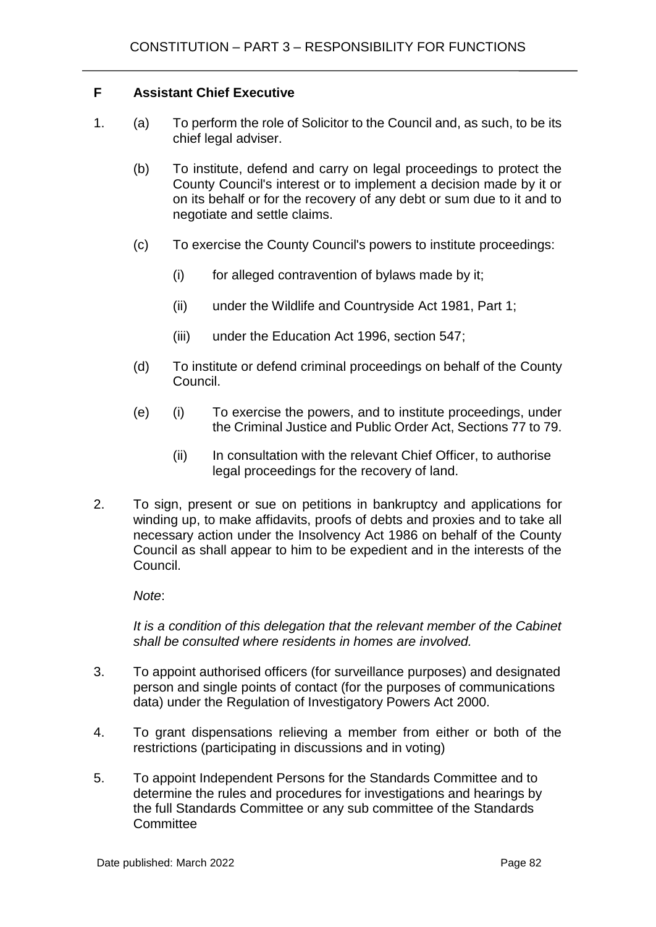## **F Assistant Chief Executive**

- 1. (a) To perform the role of Solicitor to the Council and, as such, to be its chief legal adviser.
	- (b) To institute, defend and carry on legal proceedings to protect the County Council's interest or to implement a decision made by it or on its behalf or for the recovery of any debt or sum due to it and to negotiate and settle claims.
	- (c) To exercise the County Council's powers to institute proceedings:
		- $(i)$  for alleged contravention of bylaws made by it;
		- (ii) under the Wildlife and Countryside Act 1981, Part 1;
		- (iii) under the Education Act 1996, section 547;
	- (d) To institute or defend criminal proceedings on behalf of the County Council.
	- (e) (i) To exercise the powers, and to institute proceedings, under the Criminal Justice and Public Order Act, Sections 77 to 79.
		- (ii) In consultation with the relevant Chief Officer, to authorise legal proceedings for the recovery of land.
- 2. To sign, present or sue on petitions in bankruptcy and applications for winding up, to make affidavits, proofs of debts and proxies and to take all necessary action under the Insolvency Act 1986 on behalf of the County Council as shall appear to him to be expedient and in the interests of the Council.

#### *Note*:

*It is a condition of this delegation that the relevant member of the Cabinet shall be consulted where residents in homes are involved.*

- 3. To appoint authorised officers (for surveillance purposes) and designated person and single points of contact (for the purposes of communications data) under the Regulation of Investigatory Powers Act 2000.
- 4. To grant dispensations relieving a member from either or both of the restrictions (participating in discussions and in voting)
- 5. To appoint Independent Persons for the Standards Committee and to determine the rules and procedures for investigations and hearings by the full Standards Committee or any sub committee of the Standards **Committee**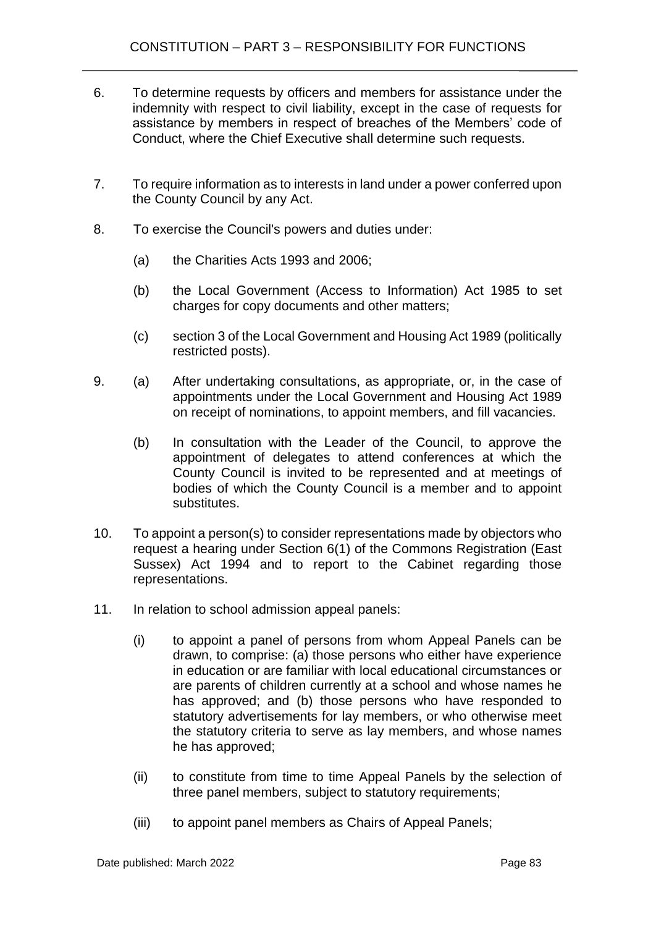- 6. To determine requests by officers and members for assistance under the indemnity with respect to civil liability, except in the case of requests for assistance by members in respect of breaches of the Members' code of Conduct, where the Chief Executive shall determine such requests.
- 7. To require information as to interests in land under a power conferred upon the County Council by any Act.
- 8. To exercise the Council's powers and duties under:
	- (a) the Charities Acts 1993 and 2006;
	- (b) the Local Government (Access to Information) Act 1985 to set charges for copy documents and other matters;
	- (c) section 3 of the Local Government and Housing Act 1989 (politically restricted posts).
- 9. (a) After undertaking consultations, as appropriate, or, in the case of appointments under the Local Government and Housing Act 1989 on receipt of nominations, to appoint members, and fill vacancies.
	- (b) In consultation with the Leader of the Council, to approve the appointment of delegates to attend conferences at which the County Council is invited to be represented and at meetings of bodies of which the County Council is a member and to appoint substitutes.
- 10. To appoint a person(s) to consider representations made by objectors who request a hearing under Section 6(1) of the Commons Registration (East Sussex) Act 1994 and to report to the Cabinet regarding those representations.
- 11. In relation to school admission appeal panels:
	- (i) to appoint a panel of persons from whom Appeal Panels can be drawn, to comprise: (a) those persons who either have experience in education or are familiar with local educational circumstances or are parents of children currently at a school and whose names he has approved; and (b) those persons who have responded to statutory advertisements for lay members, or who otherwise meet the statutory criteria to serve as lay members, and whose names he has approved;
	- (ii) to constitute from time to time Appeal Panels by the selection of three panel members, subject to statutory requirements;
	- (iii) to appoint panel members as Chairs of Appeal Panels;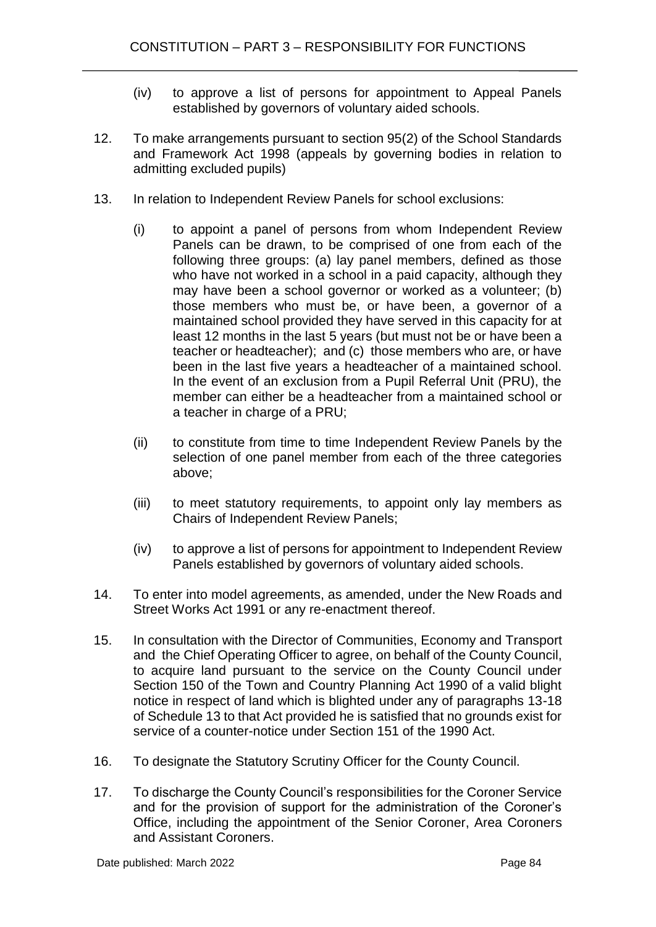- (iv) to approve a list of persons for appointment to Appeal Panels established by governors of voluntary aided schools.
- 12. To make arrangements pursuant to section 95(2) of the School Standards and Framework Act 1998 (appeals by governing bodies in relation to admitting excluded pupils)
- 13. In relation to Independent Review Panels for school exclusions:
	- (i) to appoint a panel of persons from whom Independent Review Panels can be drawn, to be comprised of one from each of the following three groups: (a) lay panel members, defined as those who have not worked in a school in a paid capacity, although they may have been a school governor or worked as a volunteer; (b) those members who must be, or have been, a governor of a maintained school provided they have served in this capacity for at least 12 months in the last 5 years (but must not be or have been a teacher or headteacher); and (c) those members who are, or have been in the last five years a headteacher of a maintained school. In the event of an exclusion from a Pupil Referral Unit (PRU), the member can either be a headteacher from a maintained school or a teacher in charge of a PRU;
	- (ii) to constitute from time to time Independent Review Panels by the selection of one panel member from each of the three categories above;
	- (iii) to meet statutory requirements, to appoint only lay members as Chairs of Independent Review Panels;
	- (iv) to approve a list of persons for appointment to Independent Review Panels established by governors of voluntary aided schools.
- 14. To enter into model agreements, as amended, under the New Roads and Street Works Act 1991 or any re-enactment thereof.
- 15. In consultation with the Director of Communities, Economy and Transport and the Chief Operating Officer to agree, on behalf of the County Council, to acquire land pursuant to the service on the County Council under Section 150 of the Town and Country Planning Act 1990 of a valid blight notice in respect of land which is blighted under any of paragraphs 13-18 of Schedule 13 to that Act provided he is satisfied that no grounds exist for service of a counter-notice under Section 151 of the 1990 Act.
- 16. To designate the Statutory Scrutiny Officer for the County Council.
- 17. To discharge the County Council's responsibilities for the Coroner Service and for the provision of support for the administration of the Coroner's Office, including the appointment of the Senior Coroner, Area Coroners and Assistant Coroners.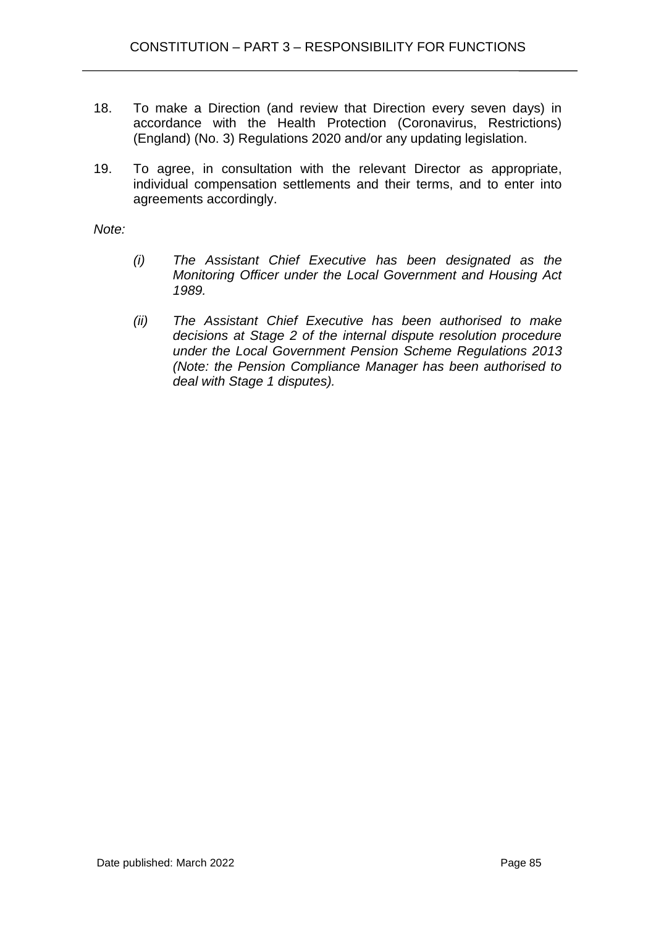- 18. To make a Direction (and review that Direction every seven days) in accordance with the Health Protection (Coronavirus, Restrictions) (England) (No. 3) Regulations 2020 and/or any updating legislation.
- 19. To agree, in consultation with the relevant Director as appropriate, individual compensation settlements and their terms, and to enter into agreements accordingly.

*Note:*

- *(i) The Assistant Chief Executive has been designated as the Monitoring Officer under the Local Government and Housing Act 1989.*
- *(ii) The Assistant Chief Executive has been authorised to make decisions at Stage 2 of the internal dispute resolution procedure under the Local Government Pension Scheme Regulations 2013 (Note: the Pension Compliance Manager has been authorised to deal with Stage 1 disputes).*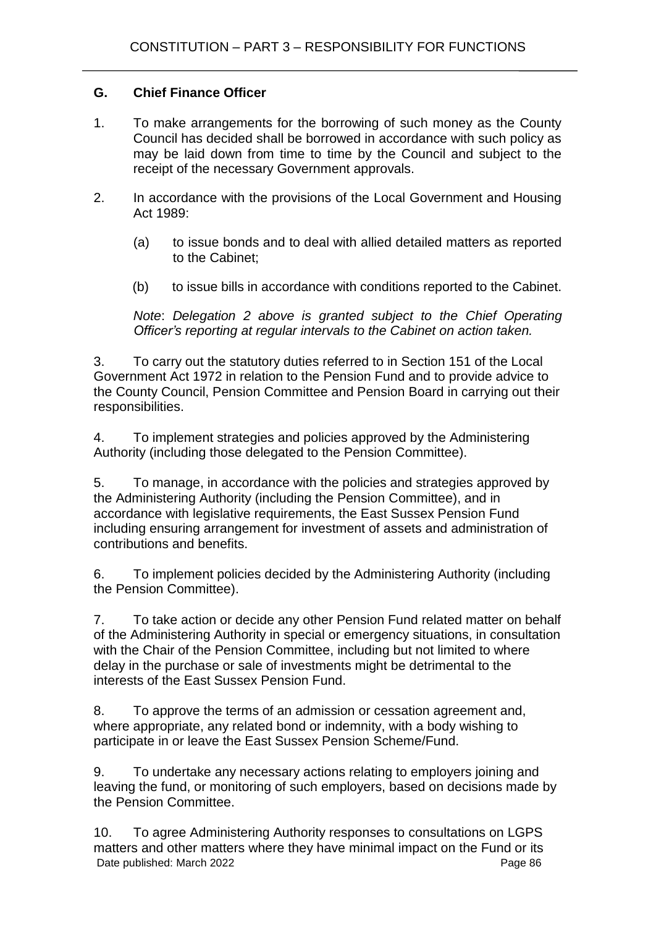# **G. Chief Finance Officer**

- 1. To make arrangements for the borrowing of such money as the County Council has decided shall be borrowed in accordance with such policy as may be laid down from time to time by the Council and subject to the receipt of the necessary Government approvals.
- 2. In accordance with the provisions of the Local Government and Housing Act 1989:
	- (a) to issue bonds and to deal with allied detailed matters as reported to the Cabinet;
	- (b) to issue bills in accordance with conditions reported to the Cabinet.

*Note*: *Delegation 2 above is granted subject to the Chief Operating Officer's reporting at regular intervals to the Cabinet on action taken.* 

3. To carry out the statutory duties referred to in Section 151 of the Local Government Act 1972 in relation to the Pension Fund and to provide advice to the County Council, Pension Committee and Pension Board in carrying out their responsibilities.

4. To implement strategies and policies approved by the Administering Authority (including those delegated to the Pension Committee).

5. To manage, in accordance with the policies and strategies approved by the Administering Authority (including the Pension Committee), and in accordance with legislative requirements, the East Sussex Pension Fund including ensuring arrangement for investment of assets and administration of contributions and benefits.

6. To implement policies decided by the Administering Authority (including the Pension Committee).

7. To take action or decide any other Pension Fund related matter on behalf of the Administering Authority in special or emergency situations, in consultation with the Chair of the Pension Committee, including but not limited to where delay in the purchase or sale of investments might be detrimental to the interests of the East Sussex Pension Fund.

8. To approve the terms of an admission or cessation agreement and, where appropriate, any related bond or indemnity, with a body wishing to participate in or leave the East Sussex Pension Scheme/Fund.

9. To undertake any necessary actions relating to employers joining and leaving the fund, or monitoring of such employers, based on decisions made by the Pension Committee.

Date published: March 2022 **Page 86** 10. To agree Administering Authority responses to consultations on LGPS matters and other matters where they have minimal impact on the Fund or its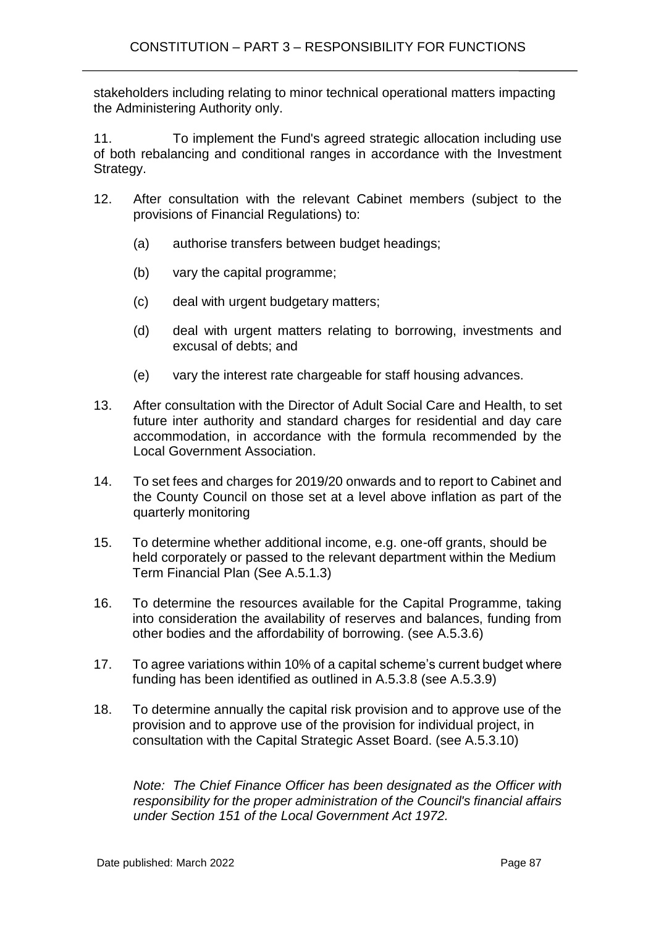stakeholders including relating to minor technical operational matters impacting the Administering Authority only.

11. To implement the Fund's agreed strategic allocation including use of both rebalancing and conditional ranges in accordance with the Investment Strategy.

- 12. After consultation with the relevant Cabinet members (subject to the provisions of Financial Regulations) to:
	- (a) authorise transfers between budget headings;
	- (b) vary the capital programme;
	- (c) deal with urgent budgetary matters;
	- (d) deal with urgent matters relating to borrowing, investments and excusal of debts; and
	- (e) vary the interest rate chargeable for staff housing advances.
- 13. After consultation with the Director of Adult Social Care and Health, to set future inter authority and standard charges for residential and day care accommodation, in accordance with the formula recommended by the Local Government Association.
- 14. To set fees and charges for 2019/20 onwards and to report to Cabinet and the County Council on those set at a level above inflation as part of the quarterly monitoring
- 15. To determine whether additional income, e.g. one-off grants, should be held corporately or passed to the relevant department within the Medium Term Financial Plan (See A.5.1.3)
- 16. To determine the resources available for the Capital Programme, taking into consideration the availability of reserves and balances, funding from other bodies and the affordability of borrowing. (see A.5.3.6)
- 17. To agree variations within 10% of a capital scheme's current budget where funding has been identified as outlined in A.5.3.8 (see A.5.3.9)
- 18. To determine annually the capital risk provision and to approve use of the provision and to approve use of the provision for individual project, in consultation with the Capital Strategic Asset Board. (see A.5.3.10)

*Note: The Chief Finance Officer has been designated as the Officer with responsibility for the proper administration of the Council's financial affairs under Section 151 of the Local Government Act 1972.*